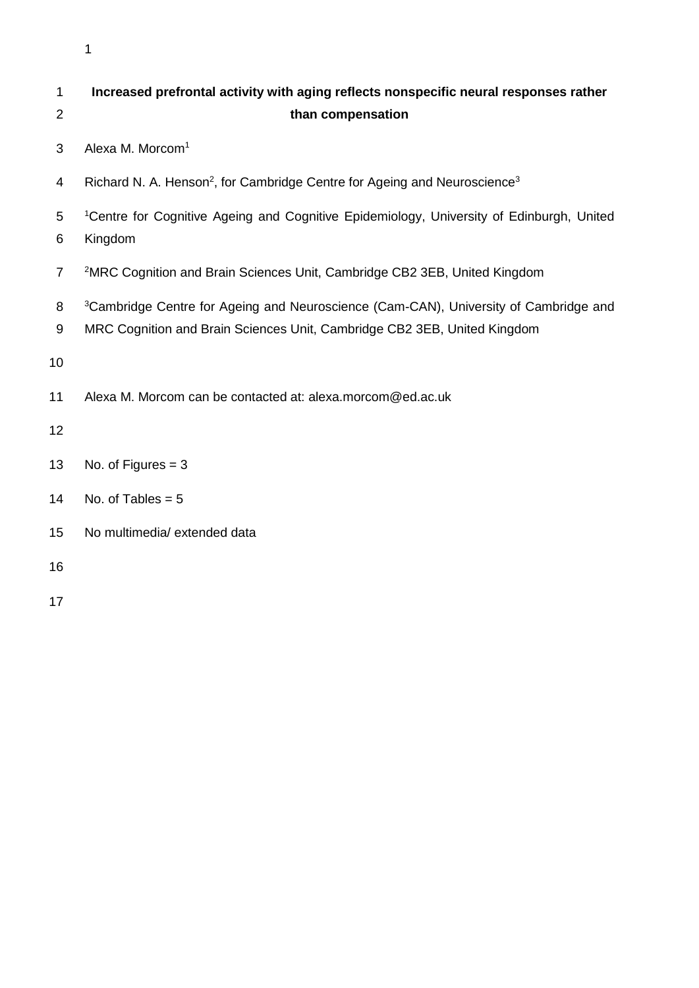| 1              | Increased prefrontal activity with aging reflects nonspecific neural responses rather                                                                                        |
|----------------|------------------------------------------------------------------------------------------------------------------------------------------------------------------------------|
| $\overline{2}$ | than compensation                                                                                                                                                            |
| 3              | Alexa M. Morcom <sup>1</sup>                                                                                                                                                 |
| 4              | Richard N. A. Henson <sup>2</sup> , for Cambridge Centre for Ageing and Neuroscience <sup>3</sup>                                                                            |
| 5<br>6         | <sup>1</sup> Centre for Cognitive Ageing and Cognitive Epidemiology, University of Edinburgh, United<br>Kingdom                                                              |
| $\overline{7}$ | <sup>2</sup> MRC Cognition and Brain Sciences Unit, Cambridge CB2 3EB, United Kingdom                                                                                        |
| 8<br>9         | <sup>3</sup> Cambridge Centre for Ageing and Neuroscience (Cam-CAN), University of Cambridge and<br>MRC Cognition and Brain Sciences Unit, Cambridge CB2 3EB, United Kingdom |
| 10             |                                                                                                                                                                              |
| 11             | Alexa M. Morcom can be contacted at: alexa.morcom@ed.ac.uk                                                                                                                   |
| 12             |                                                                                                                                                                              |
| 13             | No. of Figures $=$ 3                                                                                                                                                         |
| 14             | No. of Tables = $5$                                                                                                                                                          |
| 15             | No multimedia/ extended data                                                                                                                                                 |
| 16             |                                                                                                                                                                              |
| 17             |                                                                                                                                                                              |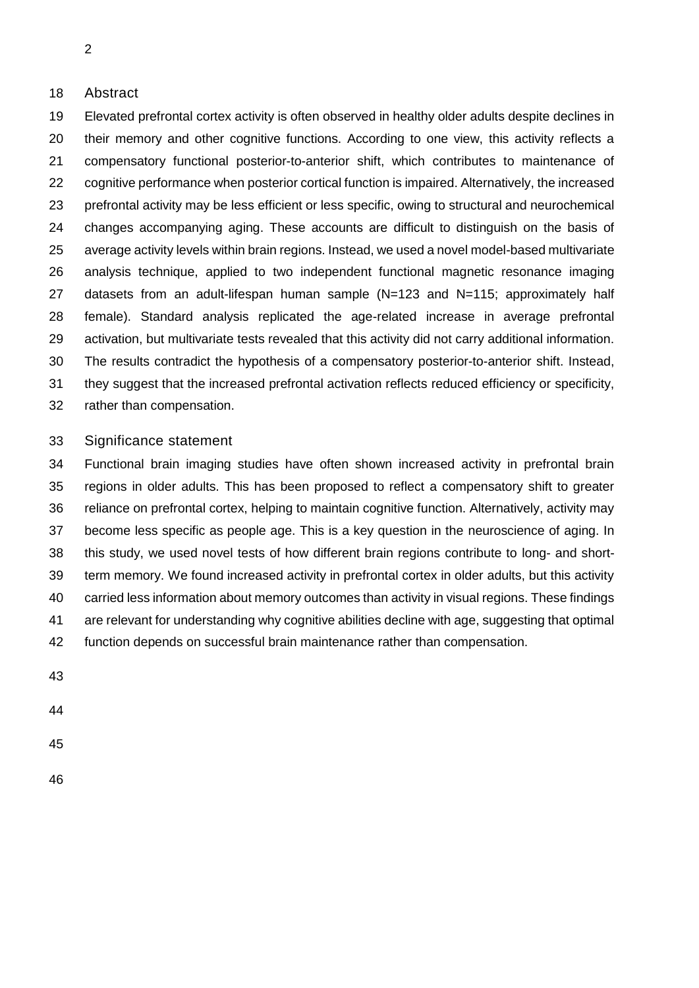## Abstract

 Elevated prefrontal cortex activity is often observed in healthy older adults despite declines in 20 their memory and other cognitive functions. According to one view, this activity reflects a compensatory functional posterior-to-anterior shift, which contributes to maintenance of 22 cognitive performance when posterior cortical function is impaired. Alternatively, the increased prefrontal activity may be less efficient or less specific, owing to structural and neurochemical changes accompanying aging. These accounts are difficult to distinguish on the basis of average activity levels within brain regions. Instead, we used a novel model-based multivariate analysis technique, applied to two independent functional magnetic resonance imaging datasets from an adult-lifespan human sample (N=123 and N=115; approximately half female). Standard analysis replicated the age-related increase in average prefrontal activation, but multivariate tests revealed that this activity did not carry additional information. The results contradict the hypothesis of a compensatory posterior-to-anterior shift. Instead, they suggest that the increased prefrontal activation reflects reduced efficiency or specificity, rather than compensation.

## Significance statement

 Functional brain imaging studies have often shown increased activity in prefrontal brain regions in older adults. This has been proposed to reflect a compensatory shift to greater reliance on prefrontal cortex, helping to maintain cognitive function. Alternatively, activity may become less specific as people age. This is a key question in the neuroscience of aging. In this study, we used novel tests of how different brain regions contribute to long- and short- term memory. We found increased activity in prefrontal cortex in older adults, but this activity carried less information about memory outcomes than activity in visual regions. These findings are relevant for understanding why cognitive abilities decline with age, suggesting that optimal function depends on successful brain maintenance rather than compensation.

- 
-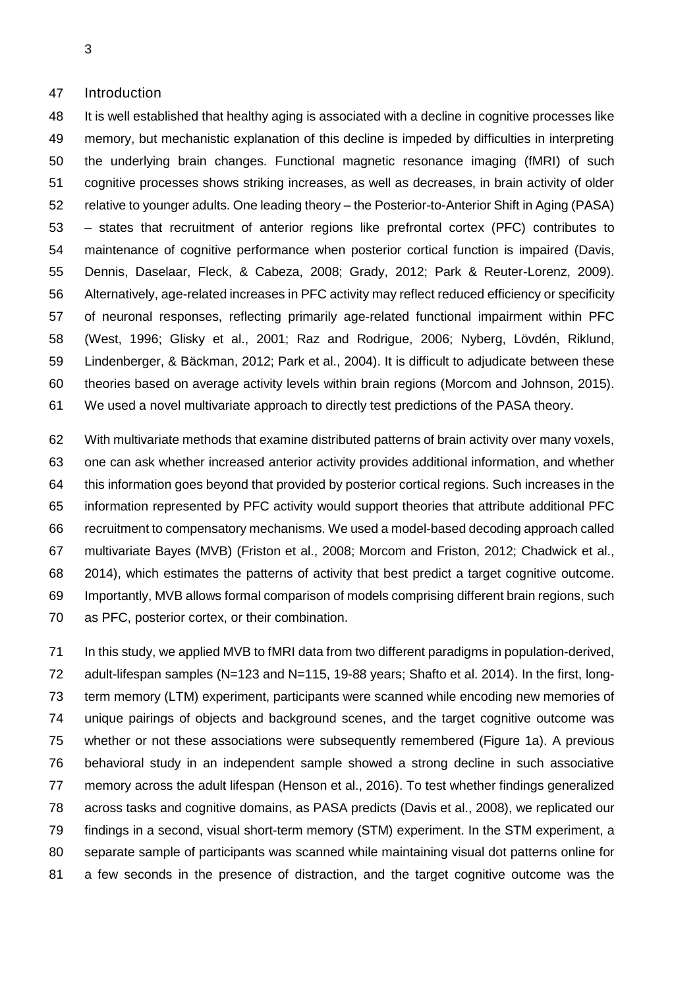### Introduction

 It is well established that healthy aging is associated with a decline in cognitive processes like memory, but mechanistic explanation of this decline is impeded by difficulties in interpreting the underlying brain changes. Functional magnetic resonance imaging (fMRI) of such cognitive processes shows striking increases, as well as decreases, in brain activity of older relative to younger adults. One leading theory – the Posterior-to-Anterior Shift in Aging (PASA) – states that recruitment of anterior regions like prefrontal cortex (PFC) contributes to maintenance of cognitive performance when posterior cortical function is impaired (Davis, Dennis, Daselaar, Fleck, & Cabeza, 2008; Grady, 2012; Park & Reuter-Lorenz, 2009). Alternatively, age-related increases in PFC activity may reflect reduced efficiency or specificity of neuronal responses, reflecting primarily age-related functional impairment within PFC (West, 1996; Glisky et al., 2001; Raz and Rodrigue, 2006; Nyberg, Lövdén, Riklund, Lindenberger, & Bäckman, 2012; Park et al., 2004). It is difficult to adjudicate between these theories based on average activity levels within brain regions (Morcom and Johnson, 2015). We used a novel multivariate approach to directly test predictions of the PASA theory.

 With multivariate methods that examine distributed patterns of brain activity over many voxels, one can ask whether increased anterior activity provides additional information, and whether this information goes beyond that provided by posterior cortical regions. Such increases in the information represented by PFC activity would support theories that attribute additional PFC recruitment to compensatory mechanisms. We used a model-based decoding approach called multivariate Bayes (MVB) (Friston et al., 2008; Morcom and Friston, 2012; Chadwick et al., 2014), which estimates the patterns of activity that best predict a target cognitive outcome. Importantly, MVB allows formal comparison of models comprising different brain regions, such as PFC, posterior cortex, or their combination.

 In this study, we applied MVB to fMRI data from two different paradigms in population-derived, 72 adult-lifespan samples (N=123 and N=115, 19-88 years; Shafto et al. 2014). In the first, long- term memory (LTM) experiment, participants were scanned while encoding new memories of unique pairings of objects and background scenes, and the target cognitive outcome was whether or not these associations were subsequently remembered (Figure 1a). A previous behavioral study in an independent sample showed a strong decline in such associative memory across the adult lifespan (Henson et al., 2016). To test whether findings generalized across tasks and cognitive domains, as PASA predicts (Davis et al., 2008), we replicated our findings in a second, visual short-term memory (STM) experiment. In the STM experiment, a separate sample of participants was scanned while maintaining visual dot patterns online for a few seconds in the presence of distraction, and the target cognitive outcome was the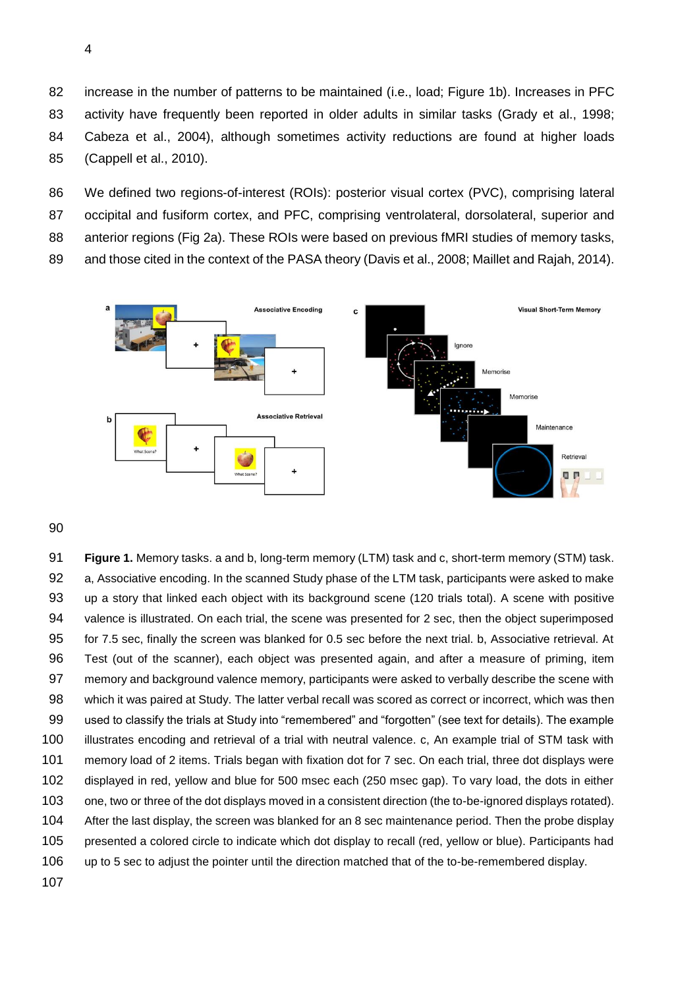increase in the number of patterns to be maintained (i.e., load; Figure 1b). Increases in PFC activity have frequently been reported in older adults in similar tasks (Grady et al., 1998; Cabeza et al., 2004), although sometimes activity reductions are found at higher loads (Cappell et al., 2010).

 We defined two regions-of-interest (ROIs): posterior visual cortex (PVC), comprising lateral occipital and fusiform cortex, and PFC, comprising ventrolateral, dorsolateral, superior and 88 anterior regions (Fig 2a). These ROIs were based on previous fMRI studies of memory tasks, and those cited in the context of the PASA theory (Davis et al., 2008; Maillet and Rajah, 2014).



 **Figure 1.** Memory tasks. a and b, long-term memory (LTM) task and c, short-term memory (STM) task. a, Associative encoding. In the scanned Study phase of the LTM task, participants were asked to make up a story that linked each object with its background scene (120 trials total). A scene with positive valence is illustrated. On each trial, the scene was presented for 2 sec, then the object superimposed for 7.5 sec, finally the screen was blanked for 0.5 sec before the next trial. b, Associative retrieval. At Test (out of the scanner), each object was presented again, and after a measure of priming, item memory and background valence memory, participants were asked to verbally describe the scene with 98 which it was paired at Study. The latter verbal recall was scored as correct or incorrect, which was then used to classify the trials at Study into "remembered" and "forgotten" (see text for details). The example illustrates encoding and retrieval of a trial with neutral valence. c, An example trial of STM task with memory load of 2 items. Trials began with fixation dot for 7 sec. On each trial, three dot displays were displayed in red, yellow and blue for 500 msec each (250 msec gap). To vary load, the dots in either one, two or three of the dot displays moved in a consistent direction (the to-be-ignored displays rotated). After the last display, the screen was blanked for an 8 sec maintenance period. Then the probe display presented a colored circle to indicate which dot display to recall (red, yellow or blue). Participants had up to 5 sec to adjust the pointer until the direction matched that of the to-be-remembered display.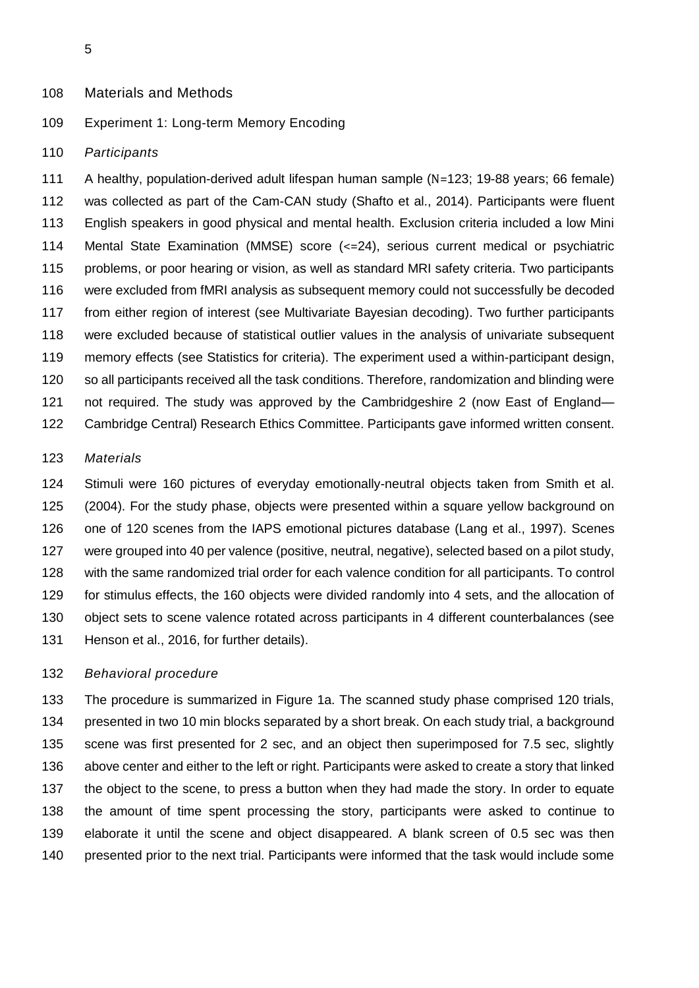### Materials and Methods

# Experiment 1: Long-term Memory Encoding

#### *Participants*

 A healthy, population-derived adult lifespan human sample (N=123; 19-88 years; 66 female) was collected as part of the Cam-CAN study (Shafto et al., 2014). Participants were fluent English speakers in good physical and mental health. Exclusion criteria included a low Mini Mental State Examination (MMSE) score (<=24), serious current medical or psychiatric problems, or poor hearing or vision, as well as standard MRI safety criteria. Two participants were excluded from fMRI analysis as subsequent memory could not successfully be decoded from either region of interest (see Multivariate Bayesian decoding). Two further participants were excluded because of statistical outlier values in the analysis of univariate subsequent memory effects (see Statistics for criteria). The experiment used a within-participant design, so all participants received all the task conditions. Therefore, randomization and blinding were 121 not required. The study was approved by the Cambridgeshire 2 (now East of England— Cambridge Central) Research Ethics Committee. Participants gave informed written consent.

### *Materials*

 Stimuli were 160 pictures of everyday emotionally-neutral objects taken from Smith et al. (2004). For the study phase, objects were presented within a square yellow background on one of 120 scenes from the IAPS emotional pictures database (Lang et al., 1997). Scenes were grouped into 40 per valence (positive, neutral, negative), selected based on a pilot study, with the same randomized trial order for each valence condition for all participants. To control for stimulus effects, the 160 objects were divided randomly into 4 sets, and the allocation of object sets to scene valence rotated across participants in 4 different counterbalances (see Henson et al., 2016, for further details).

#### *Behavioral procedure*

 The procedure is summarized in Figure 1a. The scanned study phase comprised 120 trials, presented in two 10 min blocks separated by a short break. On each study trial, a background scene was first presented for 2 sec, and an object then superimposed for 7.5 sec, slightly above center and either to the left or right. Participants were asked to create a story that linked the object to the scene, to press a button when they had made the story. In order to equate the amount of time spent processing the story, participants were asked to continue to elaborate it until the scene and object disappeared. A blank screen of 0.5 sec was then presented prior to the next trial. Participants were informed that the task would include some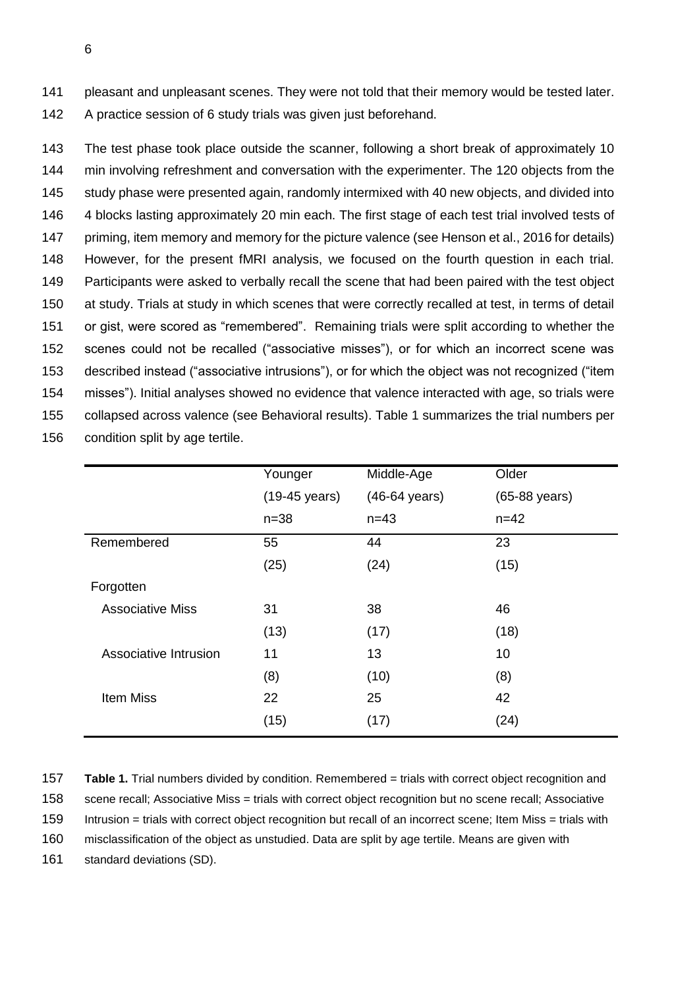141 pleasant and unpleasant scenes. They were not told that their memory would be tested later. 142 A practice session of 6 study trials was given just beforehand.

 The test phase took place outside the scanner, following a short break of approximately 10 min involving refreshment and conversation with the experimenter. The 120 objects from the study phase were presented again, randomly intermixed with 40 new objects, and divided into 4 blocks lasting approximately 20 min each. The first stage of each test trial involved tests of priming, item memory and memory for the picture valence (see Henson et al., 2016 for details) However, for the present fMRI analysis, we focused on the fourth question in each trial. Participants were asked to verbally recall the scene that had been paired with the test object at study. Trials at study in which scenes that were correctly recalled at test, in terms of detail or gist, were scored as "remembered". Remaining trials were split according to whether the scenes could not be recalled ("associative misses"), or for which an incorrect scene was described instead ("associative intrusions"), or for which the object was not recognized ("item misses"). Initial analyses showed no evidence that valence interacted with age, so trials were collapsed across valence (see Behavioral results). Table 1 summarizes the trial numbers per condition split by age tertile.

|                         | Younger       | Middle-Age              | Older         |
|-------------------------|---------------|-------------------------|---------------|
|                         | (19-45 years) | $(46-64 \text{ years})$ | (65-88 years) |
|                         | $n = 38$      | $n = 43$                | $n = 42$      |
| Remembered              | 55            | 44                      | 23            |
|                         | (25)          | (24)                    | (15)          |
| Forgotten               |               |                         |               |
| <b>Associative Miss</b> | 31            | 38                      | 46            |
|                         | (13)          | (17)                    | (18)          |
| Associative Intrusion   | 11            | 13                      | 10            |
|                         | (8)           | (10)                    | (8)           |
| <b>Item Miss</b>        | 22            | 25                      | 42            |
|                         | (15)          | (17)                    | (24)          |

157 **Table 1.** Trial numbers divided by condition. Remembered = trials with correct object recognition and 158 scene recall; Associative Miss = trials with correct object recognition but no scene recall; Associative 159 Intrusion = trials with correct object recognition but recall of an incorrect scene; Item Miss = trials with

160 misclassification of the object as unstudied. Data are split by age tertile. Means are given with

161 standard deviations (SD).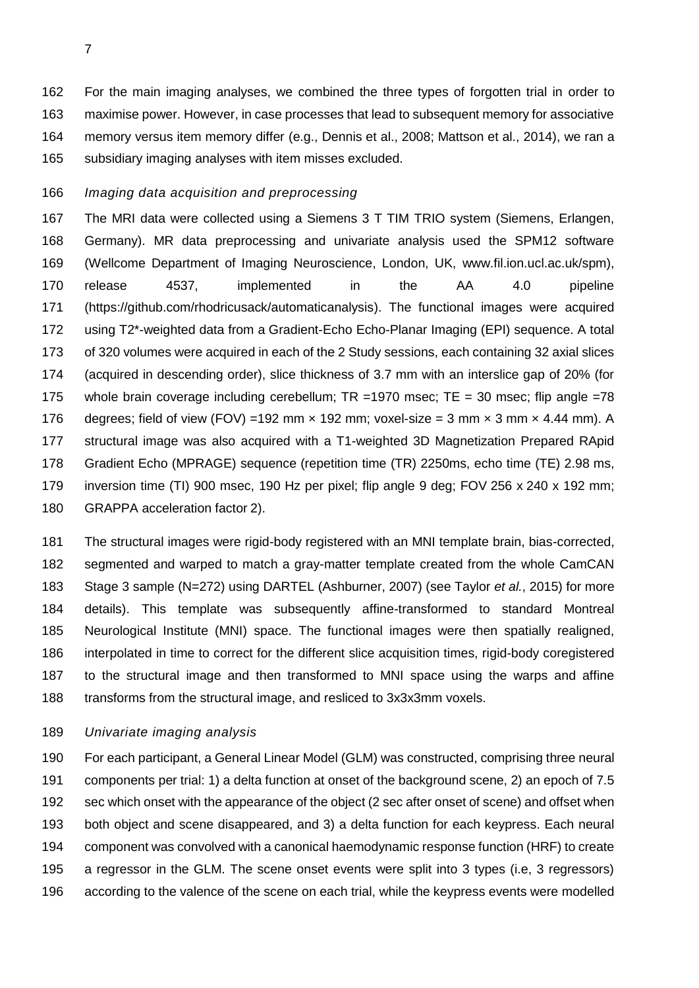For the main imaging analyses, we combined the three types of forgotten trial in order to maximise power. However, in case processes that lead to subsequent memory for associative memory versus item memory differ (e.g., Dennis et al., 2008; Mattson et al., 2014), we ran a subsidiary imaging analyses with item misses excluded.

# *Imaging data acquisition and preprocessing*

 The MRI data were collected using a Siemens 3 T TIM TRIO system (Siemens, Erlangen, Germany). MR data preprocessing and univariate analysis used the SPM12 software (Wellcome Department of Imaging Neuroscience, London, UK, www.fil.ion.ucl.ac.uk/spm), release 4537, implemented in the AA 4.0 pipeline (https://github.com/rhodricusack/automaticanalysis). The functional images were acquired using T2\*-weighted data from a Gradient-Echo Echo-Planar Imaging (EPI) sequence. A total of 320 volumes were acquired in each of the 2 Study sessions, each containing 32 axial slices (acquired in descending order), slice thickness of 3.7 mm with an interslice gap of 20% (for 175 whole brain coverage including cerebellum; TR =1970 msec; TE = 30 msec; flip angle =78 176 degrees; field of view (FOV) = 192 mm  $\times$  192 mm; voxel-size = 3 mm  $\times$  3 mm  $\times$  4.44 mm). A structural image was also acquired with a T1-weighted 3D Magnetization Prepared RApid Gradient Echo (MPRAGE) sequence (repetition time (TR) 2250ms, echo time (TE) 2.98 ms, inversion time (TI) 900 msec, 190 Hz per pixel; flip angle 9 deg; FOV 256 x 240 x 192 mm; GRAPPA acceleration factor 2).

 The structural images were rigid-body registered with an MNI template brain, bias-corrected, segmented and warped to match a gray-matter template created from the whole CamCAN Stage 3 sample (N=272) using DARTEL (Ashburner, 2007) (see Taylor *et al.*, 2015) for more details). This template was subsequently affine-transformed to standard Montreal Neurological Institute (MNI) space. The functional images were then spatially realigned, interpolated in time to correct for the different slice acquisition times, rigid-body coregistered to the structural image and then transformed to MNI space using the warps and affine transforms from the structural image, and resliced to 3x3x3mm voxels.

## *Univariate imaging analysis*

 For each participant, a General Linear Model (GLM) was constructed, comprising three neural components per trial: 1) a delta function at onset of the background scene, 2) an epoch of 7.5 sec which onset with the appearance of the object (2 sec after onset of scene) and offset when both object and scene disappeared, and 3) a delta function for each keypress. Each neural component was convolved with a canonical haemodynamic response function (HRF) to create a regressor in the GLM. The scene onset events were split into 3 types (i.e, 3 regressors) according to the valence of the scene on each trial, while the keypress events were modelled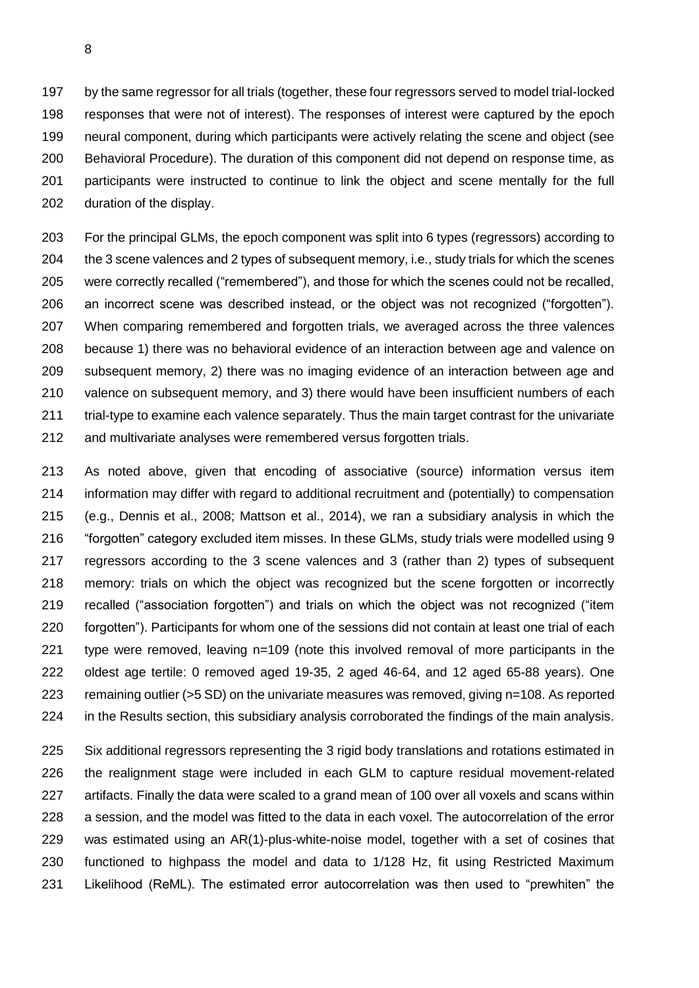by the same regressor for all trials (together, these four regressors served to model trial-locked responses that were not of interest). The responses of interest were captured by the epoch neural component, during which participants were actively relating the scene and object (see Behavioral Procedure). The duration of this component did not depend on response time, as participants were instructed to continue to link the object and scene mentally for the full duration of the display.

 For the principal GLMs, the epoch component was split into 6 types (regressors) according to the 3 scene valences and 2 types of subsequent memory, i.e., study trials for which the scenes were correctly recalled ("remembered"), and those for which the scenes could not be recalled, an incorrect scene was described instead, or the object was not recognized ("forgotten"). When comparing remembered and forgotten trials, we averaged across the three valences because 1) there was no behavioral evidence of an interaction between age and valence on subsequent memory, 2) there was no imaging evidence of an interaction between age and valence on subsequent memory, and 3) there would have been insufficient numbers of each trial-type to examine each valence separately. Thus the main target contrast for the univariate and multivariate analyses were remembered versus forgotten trials.

 As noted above, given that encoding of associative (source) information versus item information may differ with regard to additional recruitment and (potentially) to compensation (e.g., Dennis et al., 2008; Mattson et al., 2014), we ran a subsidiary analysis in which the "forgotten" category excluded item misses. In these GLMs, study trials were modelled using 9 regressors according to the 3 scene valences and 3 (rather than 2) types of subsequent memory: trials on which the object was recognized but the scene forgotten or incorrectly recalled ("association forgotten") and trials on which the object was not recognized ("item forgotten"). Participants for whom one of the sessions did not contain at least one trial of each type were removed, leaving n=109 (note this involved removal of more participants in the oldest age tertile: 0 removed aged 19-35, 2 aged 46-64, and 12 aged 65-88 years). One remaining outlier (>5 SD) on the univariate measures was removed, giving n=108. As reported in the Results section, this subsidiary analysis corroborated the findings of the main analysis.

 Six additional regressors representing the 3 rigid body translations and rotations estimated in the realignment stage were included in each GLM to capture residual movement-related artifacts. Finally the data were scaled to a grand mean of 100 over all voxels and scans within a session, and the model was fitted to the data in each voxel. The autocorrelation of the error was estimated using an AR(1)-plus-white-noise model, together with a set of cosines that functioned to highpass the model and data to 1/128 Hz, fit using Restricted Maximum Likelihood (ReML). The estimated error autocorrelation was then used to "prewhiten" the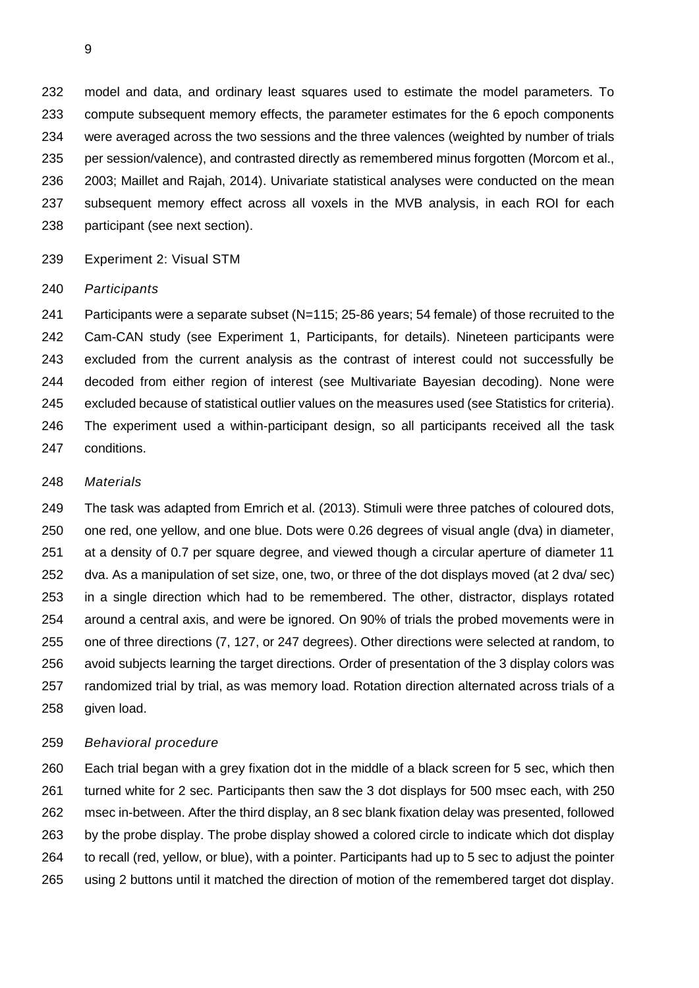model and data, and ordinary least squares used to estimate the model parameters. To compute subsequent memory effects, the parameter estimates for the 6 epoch components were averaged across the two sessions and the three valences (weighted by number of trials per session/valence), and contrasted directly as remembered minus forgotten (Morcom et al., 2003; Maillet and Rajah, 2014). Univariate statistical analyses were conducted on the mean subsequent memory effect across all voxels in the MVB analysis, in each ROI for each participant (see next section).

Experiment 2: Visual STM

### *Participants*

 Participants were a separate subset (N=115; 25-86 years; 54 female) of those recruited to the Cam-CAN study (see Experiment 1, Participants, for details). Nineteen participants were excluded from the current analysis as the contrast of interest could not successfully be decoded from either region of interest (see Multivariate Bayesian decoding). None were excluded because of statistical outlier values on the measures used (see Statistics for criteria). The experiment used a within-participant design, so all participants received all the task conditions.

### *Materials*

 The task was adapted from Emrich et al. (2013). Stimuli were three patches of coloured dots, one red, one yellow, and one blue. Dots were 0.26 degrees of visual angle (dva) in diameter, at a density of 0.7 per square degree, and viewed though a circular aperture of diameter 11 dva. As a manipulation of set size, one, two, or three of the dot displays moved (at 2 dva/ sec) in a single direction which had to be remembered. The other, distractor, displays rotated around a central axis, and were be ignored. On 90% of trials the probed movements were in one of three directions (7, 127, or 247 degrees). Other directions were selected at random, to avoid subjects learning the target directions. Order of presentation of the 3 display colors was randomized trial by trial, as was memory load. Rotation direction alternated across trials of a given load.

## *Behavioral procedure*

 Each trial began with a grey fixation dot in the middle of a black screen for 5 sec, which then turned white for 2 sec. Participants then saw the 3 dot displays for 500 msec each, with 250 msec in-between. After the third display, an 8 sec blank fixation delay was presented, followed by the probe display. The probe display showed a colored circle to indicate which dot display to recall (red, yellow, or blue), with a pointer. Participants had up to 5 sec to adjust the pointer using 2 buttons until it matched the direction of motion of the remembered target dot display.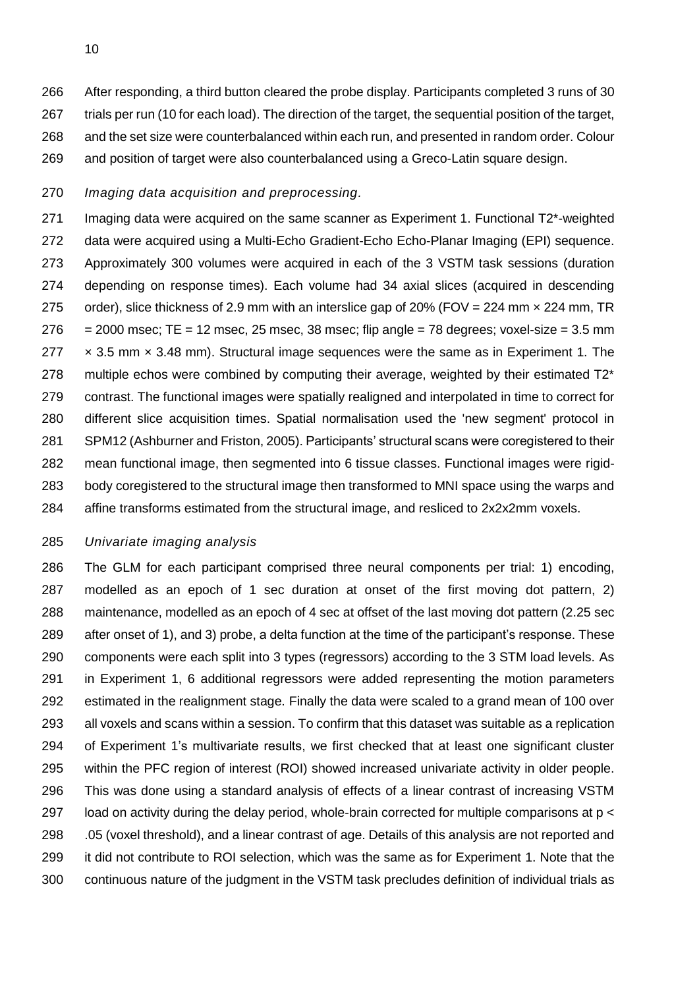After responding, a third button cleared the probe display. Participants completed 3 runs of 30 trials per run (10 for each load). The direction of the target, the sequential position of the target, and the set size were counterbalanced within each run, and presented in random order. Colour and position of target were also counterbalanced using a Greco-Latin square design.

# *Imaging data acquisition and preprocessing.*

 Imaging data were acquired on the same scanner as Experiment 1. Functional T2\*-weighted data were acquired using a Multi-Echo Gradient-Echo Echo-Planar Imaging (EPI) sequence. Approximately 300 volumes were acquired in each of the 3 VSTM task sessions (duration depending on response times). Each volume had 34 axial slices (acquired in descending 275 order), slice thickness of 2.9 mm with an interslice gap of 20% (FOV = 224 mm × 224 mm, TR  $= 2000$  msec; TE = 12 msec, 25 msec, 38 msec; flip angle = 78 degrees; voxel-size = 3.5 mm  $\times$  3.5 mm  $\times$  3.48 mm). Structural image sequences were the same as in Experiment 1. The multiple echos were combined by computing their average, weighted by their estimated T2\* contrast. The functional images were spatially realigned and interpolated in time to correct for different slice acquisition times. Spatial normalisation used the 'new segment' protocol in SPM12 (Ashburner and Friston, 2005). Participants' structural scans were coregistered to their mean functional image, then segmented into 6 tissue classes. Functional images were rigid- body coregistered to the structural image then transformed to MNI space using the warps and affine transforms estimated from the structural image, and resliced to 2x2x2mm voxels.

# *Univariate imaging analysis*

 The GLM for each participant comprised three neural components per trial: 1) encoding, modelled as an epoch of 1 sec duration at onset of the first moving dot pattern, 2) maintenance, modelled as an epoch of 4 sec at offset of the last moving dot pattern (2.25 sec after onset of 1), and 3) probe, a delta function at the time of the participant's response. These components were each split into 3 types (regressors) according to the 3 STM load levels. As in Experiment 1, 6 additional regressors were added representing the motion parameters estimated in the realignment stage. Finally the data were scaled to a grand mean of 100 over all voxels and scans within a session. To confirm that this dataset was suitable as a replication of Experiment 1's multivariate results, we first checked that at least one significant cluster within the PFC region of interest (ROI) showed increased univariate activity in older people. This was done using a standard analysis of effects of a linear contrast of increasing VSTM 297 load on activity during the delay period, whole-brain corrected for multiple comparisons at p < .05 (voxel threshold), and a linear contrast of age. Details of this analysis are not reported and it did not contribute to ROI selection, which was the same as for Experiment 1. Note that the continuous nature of the judgment in the VSTM task precludes definition of individual trials as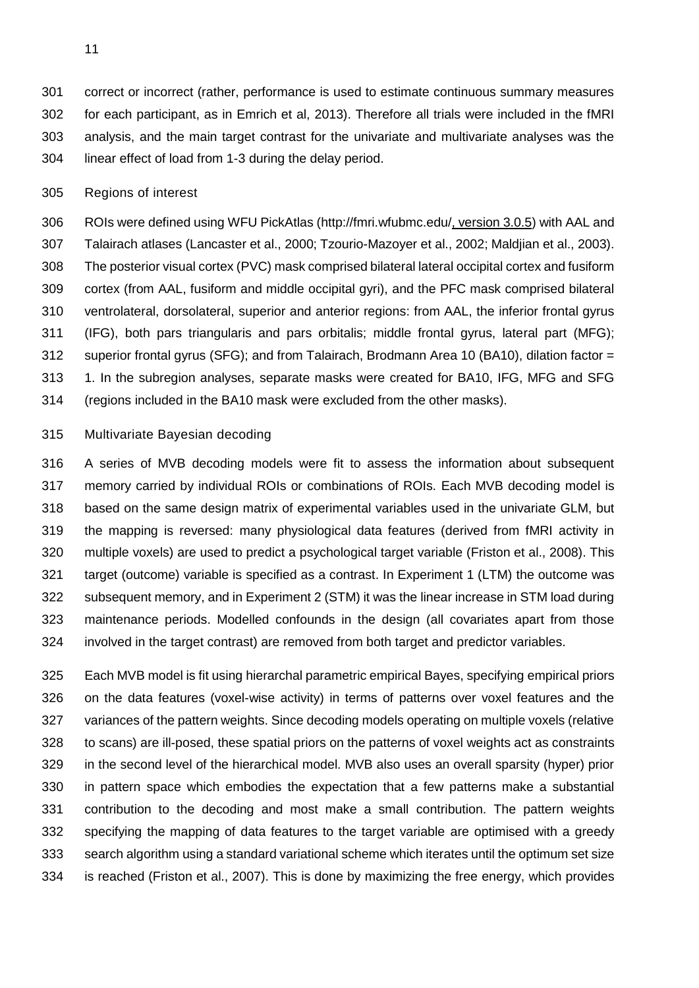correct or incorrect (rather, performance is used to estimate continuous summary measures for each participant, as in Emrich et al, 2013). Therefore all trials were included in the fMRI analysis, and the main target contrast for the univariate and multivariate analyses was the linear effect of load from 1-3 during the delay period.

Regions of interest

 ROIs were defined using WFU PickAtlas (http://fmri.wfubmc.edu/, version 3.0.5) with AAL and Talairach atlases (Lancaster et al., 2000; Tzourio-Mazoyer et al., 2002; Maldjian et al., 2003). The posterior visual cortex (PVC) mask comprised bilateral lateral occipital cortex and fusiform cortex (from AAL, fusiform and middle occipital gyri), and the PFC mask comprised bilateral ventrolateral, dorsolateral, superior and anterior regions: from AAL, the inferior frontal gyrus (IFG), both pars triangularis and pars orbitalis; middle frontal gyrus, lateral part (MFG); superior frontal gyrus (SFG); and from Talairach, Brodmann Area 10 (BA10), dilation factor = 313 1. In the subregion analyses, separate masks were created for BA10, IFG, MFG and SFG (regions included in the BA10 mask were excluded from the other masks).

# Multivariate Bayesian decoding

 A series of MVB decoding models were fit to assess the information about subsequent memory carried by individual ROIs or combinations of ROIs. Each MVB decoding model is based on the same design matrix of experimental variables used in the univariate GLM, but the mapping is reversed: many physiological data features (derived from fMRI activity in multiple voxels) are used to predict a psychological target variable (Friston et al., 2008). This target (outcome) variable is specified as a contrast. In Experiment 1 (LTM) the outcome was subsequent memory, and in Experiment 2 (STM) it was the linear increase in STM load during maintenance periods. Modelled confounds in the design (all covariates apart from those involved in the target contrast) are removed from both target and predictor variables.

 Each MVB model is fit using hierarchal parametric empirical Bayes, specifying empirical priors on the data features (voxel-wise activity) in terms of patterns over voxel features and the variances of the pattern weights. Since decoding models operating on multiple voxels (relative to scans) are ill-posed, these spatial priors on the patterns of voxel weights act as constraints in the second level of the hierarchical model. MVB also uses an overall sparsity (hyper) prior in pattern space which embodies the expectation that a few patterns make a substantial contribution to the decoding and most make a small contribution. The pattern weights specifying the mapping of data features to the target variable are optimised with a greedy search algorithm using a standard variational scheme which iterates until the optimum set size is reached (Friston et al., 2007). This is done by maximizing the free energy, which provides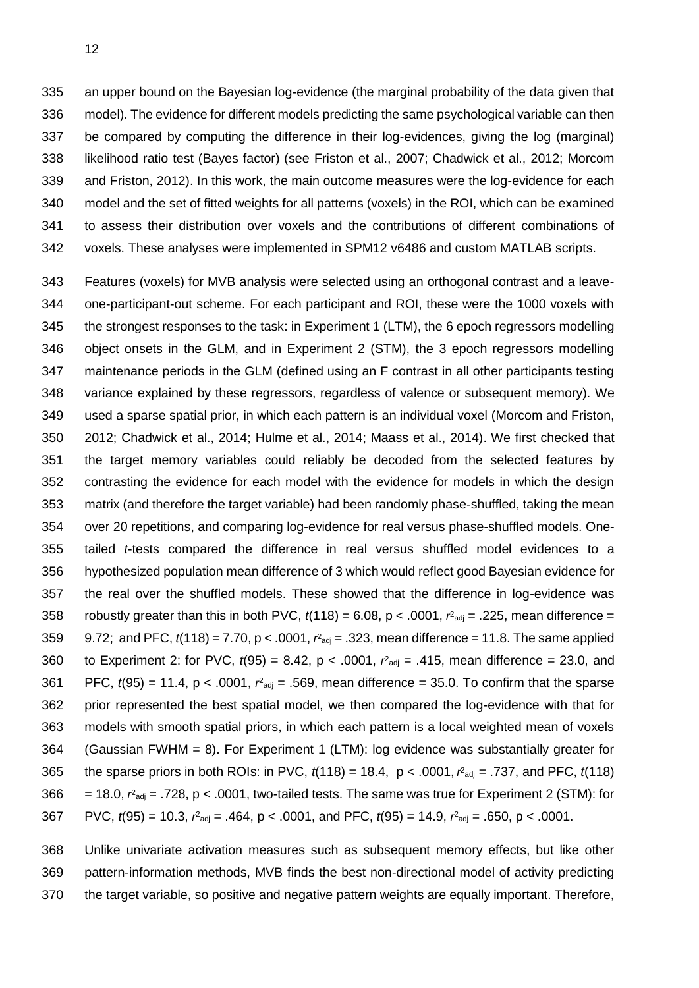an upper bound on the Bayesian log-evidence (the marginal probability of the data given that model). The evidence for different models predicting the same psychological variable can then be compared by computing the difference in their log-evidences, giving the log (marginal) likelihood ratio test (Bayes factor) (see Friston et al., 2007; Chadwick et al., 2012; Morcom and Friston, 2012). In this work, the main outcome measures were the log-evidence for each model and the set of fitted weights for all patterns (voxels) in the ROI, which can be examined to assess their distribution over voxels and the contributions of different combinations of voxels. These analyses were implemented in SPM12 v6486 and custom MATLAB scripts.

 Features (voxels) for MVB analysis were selected using an orthogonal contrast and a leave- one-participant-out scheme. For each participant and ROI, these were the 1000 voxels with the strongest responses to the task: in Experiment 1 (LTM), the 6 epoch regressors modelling object onsets in the GLM, and in Experiment 2 (STM), the 3 epoch regressors modelling maintenance periods in the GLM (defined using an F contrast in all other participants testing variance explained by these regressors, regardless of valence or subsequent memory). We used a sparse spatial prior, in which each pattern is an individual voxel (Morcom and Friston, 2012; Chadwick et al., 2014; Hulme et al., 2014; Maass et al., 2014). We first checked that the target memory variables could reliably be decoded from the selected features by contrasting the evidence for each model with the evidence for models in which the design matrix (and therefore the target variable) had been randomly phase-shuffled, taking the mean over 20 repetitions, and comparing log-evidence for real versus phase-shuffled models. One- tailed *t*-tests compared the difference in real versus shuffled model evidences to a hypothesized population mean difference of 3 which would reflect good Bayesian evidence for the real over the shuffled models. These showed that the difference in log-evidence was 358 robustly greater than this in both PVC,  $t(118) = 6.08$ ,  $p < .0001$ ,  $r<sup>2</sup>_{adj} = .225$ , mean difference = 359 9.72; and PFC,  $t(118) = 7.70$ ,  $p < .0001$ ,  $r<sup>2</sup>$ <sub>adj</sub> = .323, mean difference = 11.8. The same applied 360 to Experiment 2: for PVC,  $t(95) = 8.42$ ,  $p < .0001$ ,  $r<sup>2</sup>_{adj} = .415$ , mean difference = 23.0, and 361 PFC,  $t(95) = 11.4$ ,  $p < .0001$ ,  $r<sup>2</sup>_{adj} = .569$ , mean difference = 35.0. To confirm that the sparse prior represented the best spatial model, we then compared the log-evidence with that for models with smooth spatial priors, in which each pattern is a local weighted mean of voxels (Gaussian FWHM = 8). For Experiment 1 (LTM): log evidence was substantially greater for 365 the sparse priors in both ROIs: in PVC,  $t(118) = 18.4$ ,  $p < .0001$ ,  $r<sup>2</sup>_{adj} = .737$ , and PFC,  $t(118)$ 366 = 18.0,  $r<sup>2</sup>_{\text{adj}}$  = .728, p < .0001, two-tailed tests. The same was true for Experiment 2 (STM): for 367 PVC,  $t(95) = 10.3$ ,  $r<sup>2</sup>_{adj} = .464$ , p < .0001, and PFC,  $t(95) = 14.9$ ,  $r<sup>2</sup>_{adj} = .650$ , p < .0001.

 Unlike univariate activation measures such as subsequent memory effects, but like other pattern-information methods, MVB finds the best non-directional model of activity predicting the target variable, so positive and negative pattern weights are equally important. Therefore,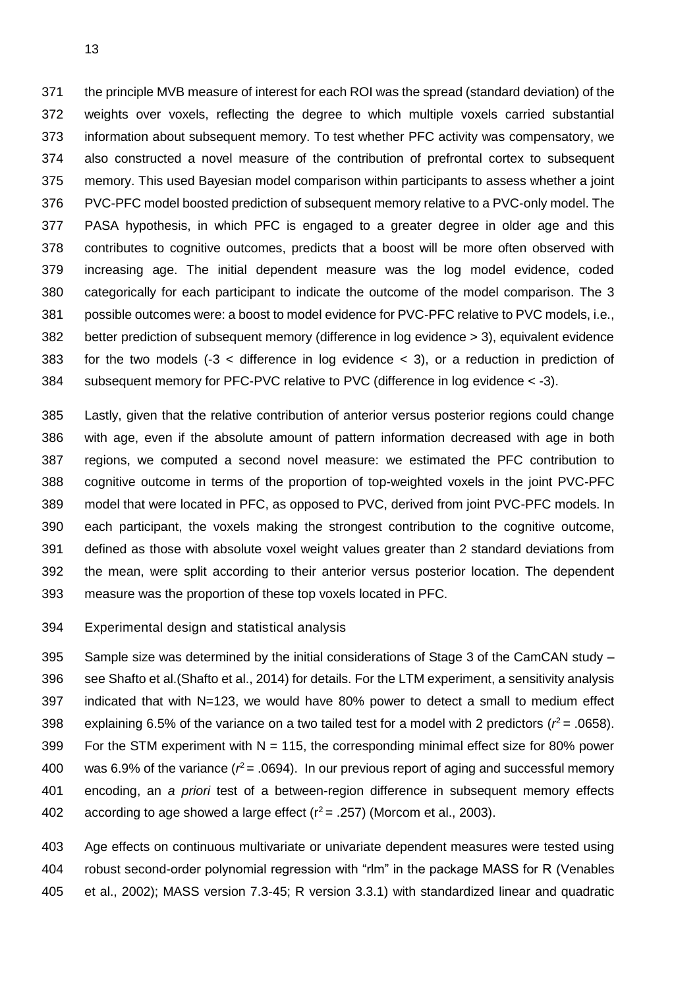the principle MVB measure of interest for each ROI was the spread (standard deviation) of the weights over voxels, reflecting the degree to which multiple voxels carried substantial information about subsequent memory. To test whether PFC activity was compensatory, we also constructed a novel measure of the contribution of prefrontal cortex to subsequent memory. This used Bayesian model comparison within participants to assess whether a joint PVC-PFC model boosted prediction of subsequent memory relative to a PVC-only model. The PASA hypothesis, in which PFC is engaged to a greater degree in older age and this contributes to cognitive outcomes, predicts that a boost will be more often observed with increasing age. The initial dependent measure was the log model evidence, coded categorically for each participant to indicate the outcome of the model comparison. The 3 possible outcomes were: a boost to model evidence for PVC-PFC relative to PVC models, i.e., better prediction of subsequent memory (difference in log evidence > 3), equivalent evidence 383 for the two models  $(-3 <$  difference in log evidence  $<$  3), or a reduction in prediction of subsequent memory for PFC-PVC relative to PVC (difference in log evidence < -3).

 Lastly, given that the relative contribution of anterior versus posterior regions could change with age, even if the absolute amount of pattern information decreased with age in both regions, we computed a second novel measure: we estimated the PFC contribution to cognitive outcome in terms of the proportion of top-weighted voxels in the joint PVC-PFC model that were located in PFC, as opposed to PVC, derived from joint PVC-PFC models. In each participant, the voxels making the strongest contribution to the cognitive outcome, defined as those with absolute voxel weight values greater than 2 standard deviations from the mean, were split according to their anterior versus posterior location. The dependent measure was the proportion of these top voxels located in PFC.

Experimental design and statistical analysis

 Sample size was determined by the initial considerations of Stage 3 of the CamCAN study – see Shafto et al.(Shafto et al., 2014) for details. For the LTM experiment, a sensitivity analysis indicated that with N=123, we would have 80% power to detect a small to medium effect 398 explaining 6.5% of the variance on a two tailed test for a model with 2 predictors ( $r^2$  = .0658). 399 For the STM experiment with  $N = 115$ , the corresponding minimal effect size for 80% power 400 was 6.9% of the variance ( $r^2$  = .0694). In our previous report of aging and successful memory encoding, an *a priori* test of a between-region difference in subsequent memory effects 402 according to age showed a large effect  $(r^2 = .257)$  (Morcom et al., 2003).

 Age effects on continuous multivariate or univariate dependent measures were tested using robust second-order polynomial regression with "rlm" in the package MASS for R (Venables et al., 2002); MASS version 7.3-45; R version 3.3.1) with standardized linear and quadratic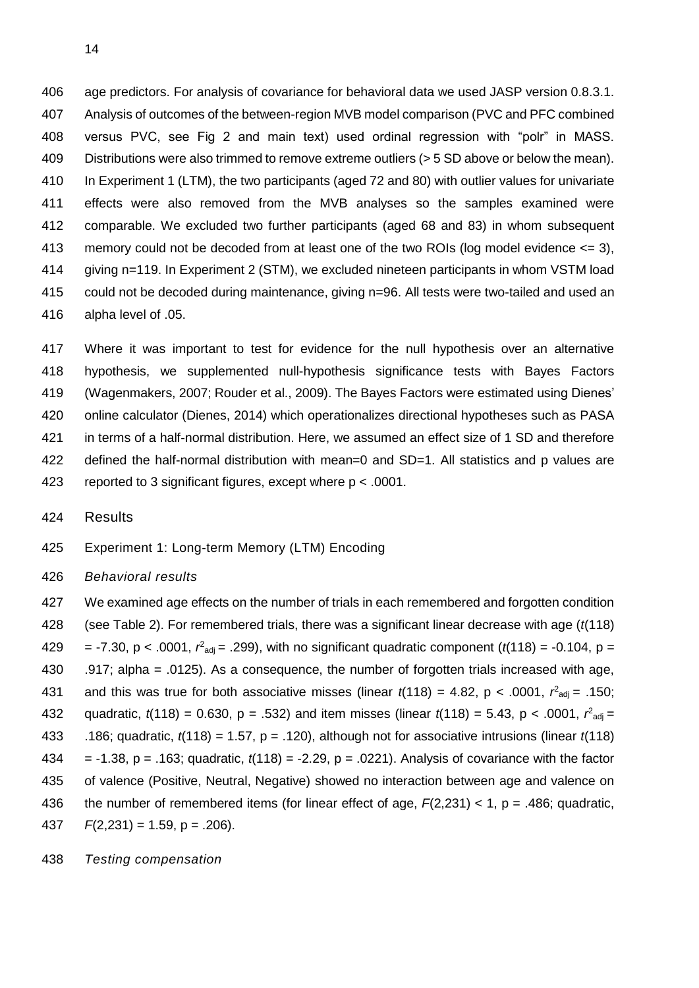age predictors. For analysis of covariance for behavioral data we used JASP version 0.8.3.1. Analysis of outcomes of the between-region MVB model comparison (PVC and PFC combined versus PVC, see Fig 2 and main text) used ordinal regression with "polr" in MASS. Distributions were also trimmed to remove extreme outliers (> 5 SD above or below the mean). In Experiment 1 (LTM), the two participants (aged 72 and 80) with outlier values for univariate effects were also removed from the MVB analyses so the samples examined were comparable. We excluded two further participants (aged 68 and 83) in whom subsequent memory could not be decoded from at least one of the two ROIs (log model evidence <= 3), giving n=119. In Experiment 2 (STM), we excluded nineteen participants in whom VSTM load could not be decoded during maintenance, giving n=96. All tests were two-tailed and used an alpha level of .05.

 Where it was important to test for evidence for the null hypothesis over an alternative hypothesis, we supplemented null-hypothesis significance tests with Bayes Factors (Wagenmakers, 2007; Rouder et al., 2009). The Bayes Factors were estimated using Dienes' online calculator (Dienes, 2014) which operationalizes directional hypotheses such as PASA in terms of a half-normal distribution. Here, we assumed an effect size of 1 SD and therefore defined the half-normal distribution with mean=0 and SD=1. All statistics and p values are reported to 3 significant figures, except where p < .0001.

Results

Experiment 1: Long-term Memory (LTM) Encoding

*Behavioral results*

 We examined age effects on the number of trials in each remembered and forgotten condition (see Table 2). For remembered trials, there was a significant linear decrease with age (*t*(118) 429 = -7.30, p < .0001,  $r^2_{\text{adj}}$  = .299), with no significant quadratic component ( $t(118)$  = -0.104, p = .917; alpha = .0125). As a consequence, the number of forgotten trials increased with age, 431 and this was true for both associative misses (linear  $t(118) = 4.82$ , p < .0001,  $r<sup>2</sup>_{\text{adj}} = .150$ ; 432 quadratic,  $t(118) = 0.630$ ,  $p = .532$ ) and item misses (linear  $t(118) = 5.43$ ,  $p < .0001$ ,  $r^2_{\text{adj}} =$  .186; quadratic, *t*(118) = 1.57, p = .120), although not for associative intrusions (linear *t*(118) = -1.38, p = .163; quadratic, *t*(118) = -2.29, p = .0221). Analysis of covariance with the factor of valence (Positive, Neutral, Negative) showed no interaction between age and valence on the number of remembered items (for linear effect of age, *F*(2,231) < 1, p = .486; quadratic,  $F(2,231) = 1.59$ , p = .206).

*Testing compensation*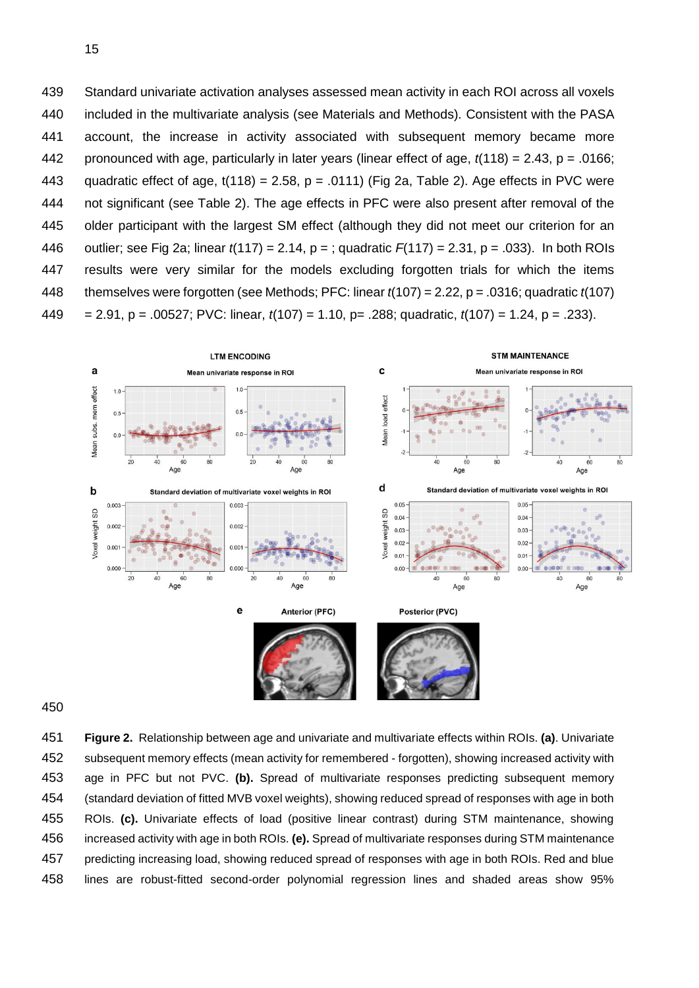Standard univariate activation analyses assessed mean activity in each ROI across all voxels included in the multivariate analysis (see Materials and Methods). Consistent with the PASA account, the increase in activity associated with subsequent memory became more pronounced with age, particularly in later years (linear effect of age, *t*(118) = 2.43, p = .0166; 443 quadratic effect of age,  $t(118) = 2.58$ ,  $p = .0111$ ) (Fig 2a, Table 2). Age effects in PVC were not significant (see Table 2). The age effects in PFC were also present after removal of the older participant with the largest SM effect (although they did not meet our criterion for an outlier; see Fig 2a; linear *t*(117) = 2.14, p = ; quadratic *F*(117) = 2.31, p = .033). In both ROIs results were very similar for the models excluding forgotten trials for which the items themselves were forgotten (see Methods; PFC: linear *t*(107) = 2.22, p = .0316; quadratic *t*(107) = 2.91, p = .00527; PVC: linear, *t*(107) = 1.10, p= .288; quadratic, *t*(107) = 1.24, p = .233).



 **Figure 2.** Relationship between age and univariate and multivariate effects within ROIs. **(a)**. Univariate subsequent memory effects (mean activity for remembered - forgotten), showing increased activity with age in PFC but not PVC. **(b).** Spread of multivariate responses predicting subsequent memory (standard deviation of fitted MVB voxel weights), showing reduced spread of responses with age in both ROIs. **(c).** Univariate effects of load (positive linear contrast) during STM maintenance, showing increased activity with age in both ROIs. **(e).** Spread of multivariate responses during STM maintenance predicting increasing load, showing reduced spread of responses with age in both ROIs. Red and blue lines are robust-fitted second-order polynomial regression lines and shaded areas show 95%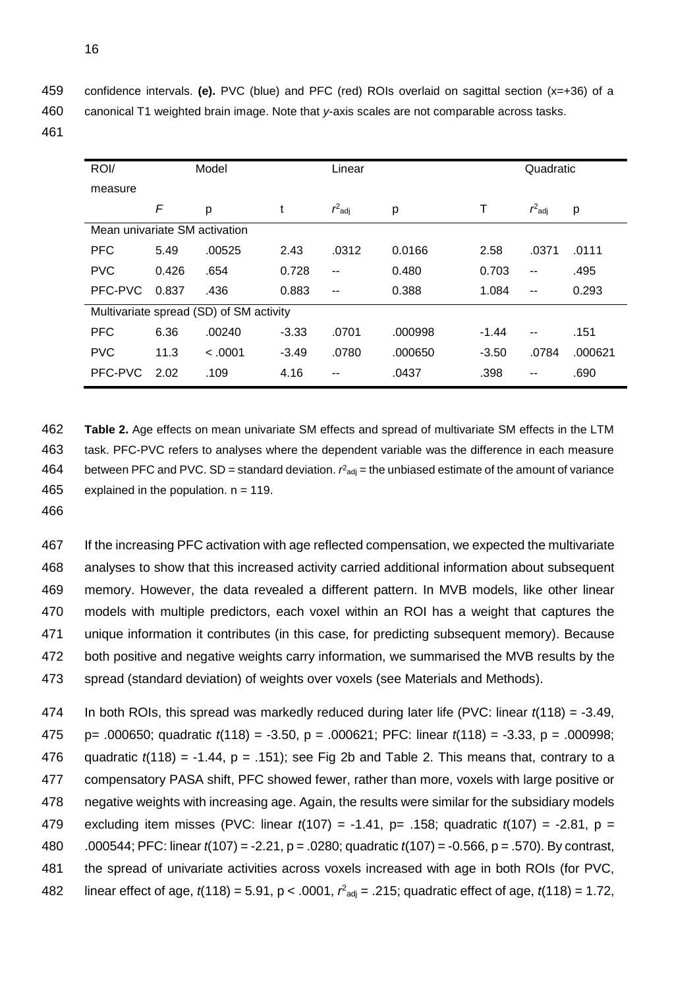459 confidence intervals. **(e).** PVC (blue) and PFC (red) ROIs overlaid on sagittal section (x=+36) of a

460 canonical T1 weighted brain image. Note that *y*-axis scales are not comparable across tasks.

461

| ROI/                          | Model |                                         |         | Linear    |         | Quadratic |                          |         |
|-------------------------------|-------|-----------------------------------------|---------|-----------|---------|-----------|--------------------------|---------|
| measure                       |       |                                         |         |           |         |           |                          |         |
|                               | F     | р                                       | t       | $r^2$ adj | р       | т         | $r^2$ adj                | р       |
| Mean univariate SM activation |       |                                         |         |           |         |           |                          |         |
| <b>PFC</b>                    | 5.49  | .00525                                  | 2.43    | .0312     | 0.0166  | 2.58      | .0371                    | .0111   |
| <b>PVC</b>                    | 0.426 | .654                                    | 0.728   | --        | 0.480   | 0.703     | $\sim$ $\sim$            | .495    |
| PFC-PVC                       | 0.837 | .436                                    | 0.883   | --        | 0.388   | 1.084     | $\overline{\phantom{a}}$ | 0.293   |
|                               |       | Multivariate spread (SD) of SM activity |         |           |         |           |                          |         |
| <b>PFC</b>                    | 6.36  | .00240                                  | $-3.33$ | .0701     | .000998 | $-1.44$   | $\sim$ $\sim$            | .151    |
| <b>PVC</b>                    | 11.3  | < .0001                                 | $-3.49$ | .0780     | .000650 | $-3.50$   | .0784                    | .000621 |
| PFC-PVC                       | 2.02  | .109                                    | 4.16    | --        | .0437   | .398      | $- -$                    | .690    |

462 **Table 2.** Age effects on mean univariate SM effects and spread of multivariate SM effects in the LTM 463 task. PFC-PVC refers to analyses where the dependent variable was the difference in each measure 464 between PFC and PVC. SD = standard deviation.  $r^2$ <sub>adj</sub> = the unbiased estimate of the amount of variance 465 explained in the population.  $n = 119$ .

466

 If the increasing PFC activation with age reflected compensation, we expected the multivariate analyses to show that this increased activity carried additional information about subsequent memory. However, the data revealed a different pattern. In MVB models, like other linear models with multiple predictors, each voxel within an ROI has a weight that captures the unique information it contributes (in this case, for predicting subsequent memory). Because both positive and negative weights carry information, we summarised the MVB results by the spread (standard deviation) of weights over voxels (see Materials and Methods).

 In both ROIs, this spread was markedly reduced during later life (PVC: linear *t*(118) = -3.49, p= .000650; quadratic *t*(118) = -3.50, p = .000621; PFC: linear *t*(118) = -3.33, p = .000998; 476 quadratic  $t(118) = -1.44$ , p = .151); see Fig 2b and Table 2. This means that, contrary to a compensatory PASA shift, PFC showed fewer, rather than more, voxels with large positive or negative weights with increasing age. Again, the results were similar for the subsidiary models excluding item misses (PVC: linear *t*(107) = -1.41, p= .158; quadratic *t*(107) = -2.81, p = .000544; PFC: linear *t*(107) = -2.21, p = .0280; quadratic *t*(107) = -0.566, p = .570). By contrast, the spread of univariate activities across voxels increased with age in both ROIs (for PVC, 482 linear effect of age,  $t(118) = 5.91$ ,  $p < .0001$ ,  $r<sup>2</sup>_{adj} = .215$ ; quadratic effect of age,  $t(118) = 1.72$ ,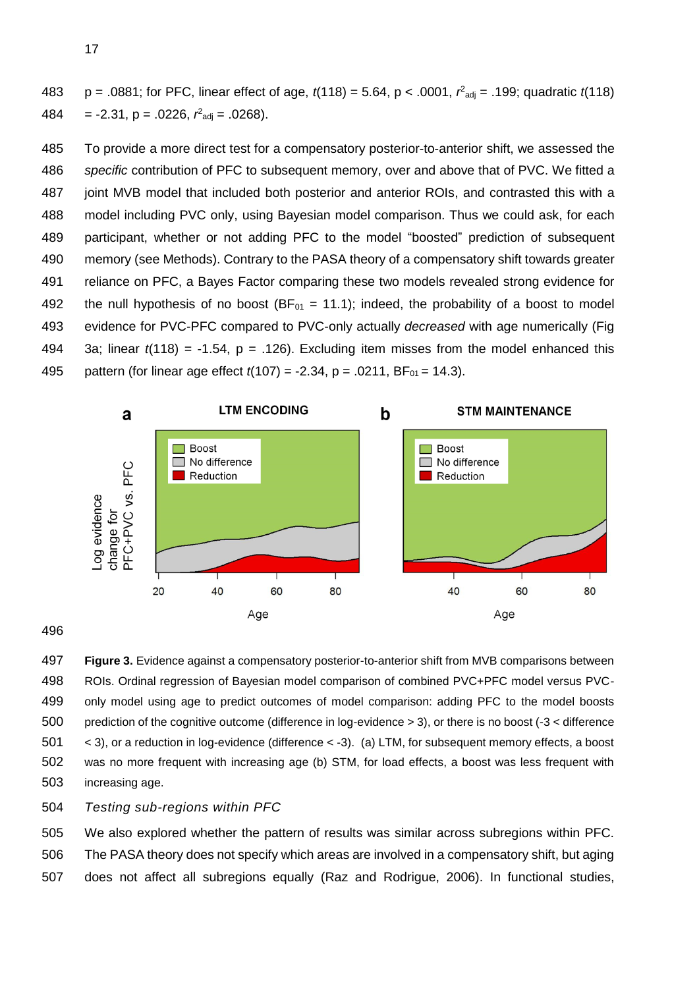483  $p = .0881$ ; for PFC, linear effect of age,  $t(118) = 5.64$ ,  $p < .0001$ ,  $r<sup>2</sup>_{\text{adj}} = .199$ ; quadratic  $t(118)$  $484 = -2.31$ ,  $p = .0226$ ,  $r<sup>2</sup>$ <sub>adj</sub> = .0268).

 To provide a more direct test for a compensatory posterior-to-anterior shift, we assessed the *specific* contribution of PFC to subsequent memory, over and above that of PVC. We fitted a joint MVB model that included both posterior and anterior ROIs, and contrasted this with a model including PVC only, using Bayesian model comparison. Thus we could ask, for each participant, whether or not adding PFC to the model "boosted" prediction of subsequent memory (see Methods). Contrary to the PASA theory of a compensatory shift towards greater reliance on PFC, a Bayes Factor comparing these two models revealed strong evidence for 492 the null hypothesis of no boost ( $BF_{01} = 11.1$ ); indeed, the probability of a boost to model evidence for PVC-PFC compared to PVC-only actually *decreased* with age numerically (Fig 3a; linear *t*(118) = -1.54, p = .126). Excluding item misses from the model enhanced this 495 pattern (for linear age effect  $t(107) = -2.34$ , p = .0211, BF<sub>01</sub> = 14.3).



#### 

 **Figure 3.** Evidence against a compensatory posterior-to-anterior shift from MVB comparisons between ROIs. Ordinal regression of Bayesian model comparison of combined PVC+PFC model versus PVC- only model using age to predict outcomes of model comparison: adding PFC to the model boosts prediction of the cognitive outcome (difference in log-evidence > 3), or there is no boost (-3 < difference < 3), or a reduction in log-evidence (difference < -3). (a) LTM, for subsequent memory effects, a boost was no more frequent with increasing age (b) STM, for load effects, a boost was less frequent with increasing age.

# *Testing sub-regions within PFC*

 We also explored whether the pattern of results was similar across subregions within PFC. The PASA theory does not specify which areas are involved in a compensatory shift, but aging does not affect all subregions equally (Raz and Rodrigue, 2006). In functional studies,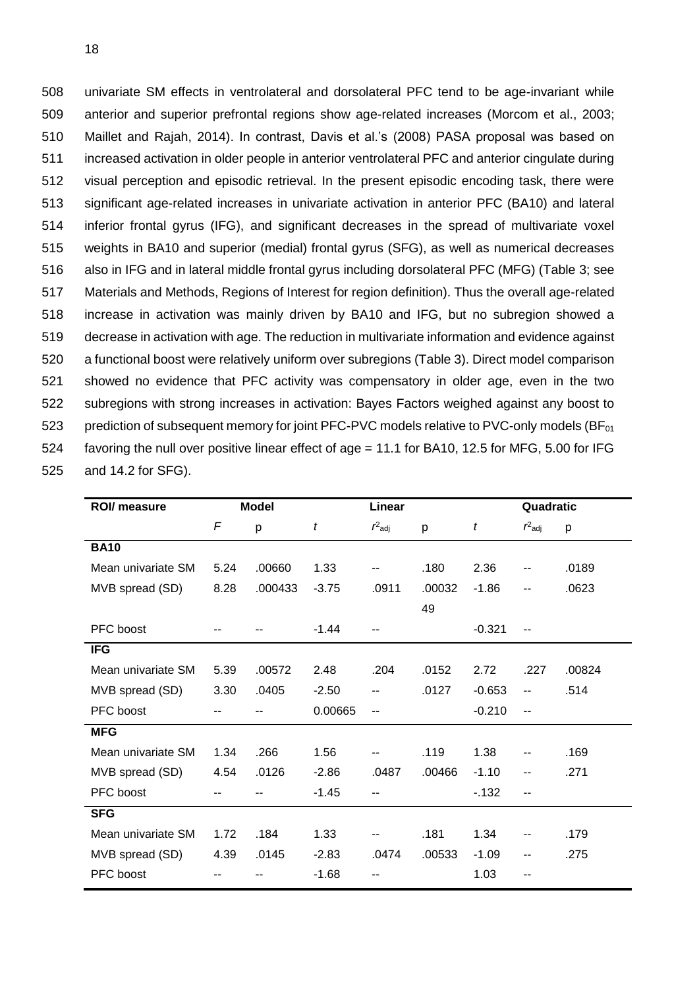univariate SM effects in ventrolateral and dorsolateral PFC tend to be age-invariant while anterior and superior prefrontal regions show age-related increases (Morcom et al., 2003; Maillet and Rajah, 2014). In contrast, Davis et al.'s (2008) PASA proposal was based on increased activation in older people in anterior ventrolateral PFC and anterior cingulate during visual perception and episodic retrieval. In the present episodic encoding task, there were significant age-related increases in univariate activation in anterior PFC (BA10) and lateral inferior frontal gyrus (IFG), and significant decreases in the spread of multivariate voxel weights in BA10 and superior (medial) frontal gyrus (SFG), as well as numerical decreases also in IFG and in lateral middle frontal gyrus including dorsolateral PFC (MFG) (Table 3; see Materials and Methods, Regions of Interest for region definition). Thus the overall age-related increase in activation was mainly driven by BA10 and IFG, but no subregion showed a decrease in activation with age. The reduction in multivariate information and evidence against a functional boost were relatively uniform over subregions (Table 3). Direct model comparison showed no evidence that PFC activity was compensatory in older age, even in the two subregions with strong increases in activation: Bayes Factors weighed against any boost to 523 prediction of subsequent memory for joint PFC-PVC models relative to PVC-only models (BF<sub>01</sub>) favoring the null over positive linear effect of age = 11.1 for BA10, 12.5 for MFG, 5.00 for IFG and 14.2 for SFG).

| ROI/ measure       | <b>Model</b> |         |         | Linear    |        |          | Quadratic |        |  |
|--------------------|--------------|---------|---------|-----------|--------|----------|-----------|--------|--|
|                    | $\sqrt{2}$   | p       | t       | $r^2$ adj | р      | t        | $r^2$ adj | p      |  |
| <b>BA10</b>        |              |         |         |           |        |          |           |        |  |
| Mean univariate SM | 5.24         | .00660  | 1.33    |           | .180   | 2.36     | --        | .0189  |  |
| MVB spread (SD)    | 8.28         | .000433 | $-3.75$ | .0911     | .00032 | $-1.86$  | --        | .0623  |  |
|                    |              |         |         |           | 49     |          |           |        |  |
| PFC boost          | --           |         | $-1.44$ |           |        | $-0.321$ | --        |        |  |
| <b>IFG</b>         |              |         |         |           |        |          |           |        |  |
| Mean univariate SM | 5.39         | .00572  | 2.48    | .204      | .0152  | 2.72     | .227      | .00824 |  |
| MVB spread (SD)    | 3.30         | .0405   | $-2.50$ |           | .0127  | $-0.653$ | --        | .514   |  |
| PFC boost          | --           |         | 0.00665 | --        |        | $-0.210$ | --        |        |  |
| <b>MFG</b>         |              |         |         |           |        |          |           |        |  |
| Mean univariate SM | 1.34         | .266    | 1.56    |           | .119   | 1.38     | --        | .169   |  |
| MVB spread (SD)    | 4.54         | .0126   | $-2.86$ | .0487     | .00466 | $-1.10$  | --        | .271   |  |
| PFC boost          | --           |         | $-1.45$ | --        |        | $-132$   | --        |        |  |
| <b>SFG</b>         |              |         |         |           |        |          |           |        |  |
| Mean univariate SM | 1.72         | .184    | 1.33    |           | .181   | 1.34     | --        | .179   |  |
| MVB spread (SD)    | 4.39         | .0145   | $-2.83$ | .0474     | .00533 | $-1.09$  | --        | .275   |  |
| PFC boost          |              |         | $-1.68$ |           |        | 1.03     | --        |        |  |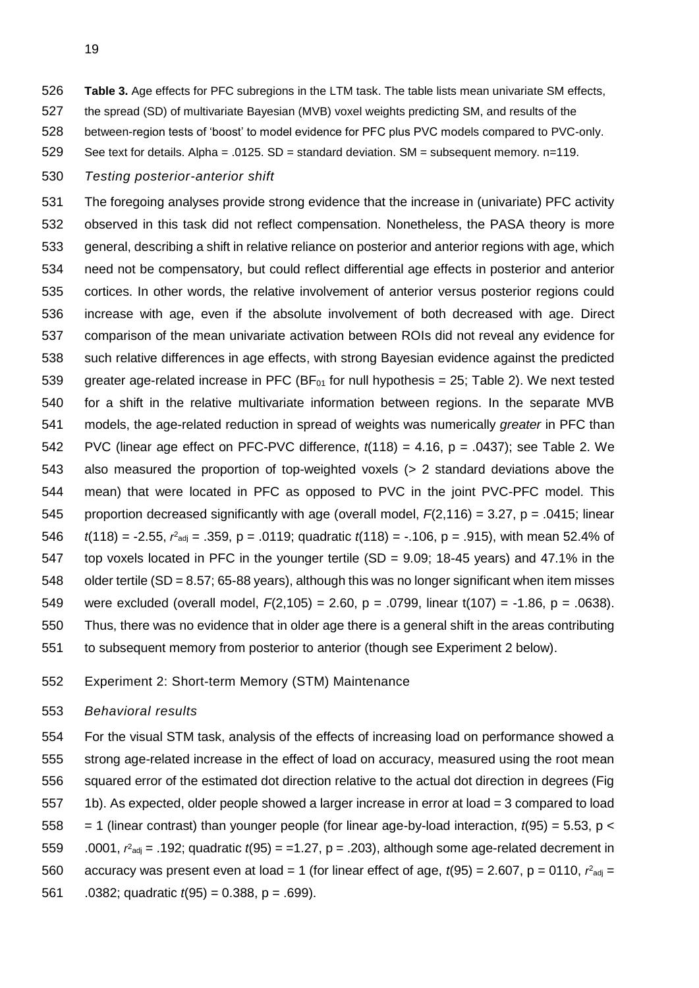- **Table 3.** Age effects for PFC subregions in the LTM task. The table lists mean univariate SM effects,
- the spread (SD) of multivariate Bayesian (MVB) voxel weights predicting SM, and results of the
- between-region tests of 'boost' to model evidence for PFC plus PVC models compared to PVC-only.
- See text for details. Alpha = .0125. SD = standard deviation. SM = subsequent memory. n=119.
- *Testing posterior-anterior shift*

 The foregoing analyses provide strong evidence that the increase in (univariate) PFC activity observed in this task did not reflect compensation. Nonetheless, the PASA theory is more general, describing a shift in relative reliance on posterior and anterior regions with age, which need not be compensatory, but could reflect differential age effects in posterior and anterior cortices. In other words, the relative involvement of anterior versus posterior regions could increase with age, even if the absolute involvement of both decreased with age. Direct comparison of the mean univariate activation between ROIs did not reveal any evidence for such relative differences in age effects, with strong Bayesian evidence against the predicted 539 greater age-related increase in PFC (BF $_{01}$  for null hypothesis = 25; Table 2). We next tested for a shift in the relative multivariate information between regions. In the separate MVB models, the age-related reduction in spread of weights was numerically *greater* in PFC than PVC (linear age effect on PFC-PVC difference, *t*(118) = 4.16, p = .0437); see Table 2. We also measured the proportion of top-weighted voxels (> 2 standard deviations above the mean) that were located in PFC as opposed to PVC in the joint PVC-PFC model. This proportion decreased significantly with age (overall model, *F*(2,116) = 3.27, p = .0415; linear  $t(118) = -2.55$ ,  $r<sup>2</sup>_{\text{adj}} = .359$ , p = .0119; quadratic  $t(118) = -.106$ , p = .915), with mean 52.4% of top voxels located in PFC in the younger tertile (SD = 9.09; 18-45 years) and 47.1% in the older tertile (SD = 8.57; 65-88 years), although this was no longer significant when item misses were excluded (overall model, *F*(2,105) = 2.60, p = .0799, linear t(107) = -1.86, p = .0638). Thus, there was no evidence that in older age there is a general shift in the areas contributing to subsequent memory from posterior to anterior (though see Experiment 2 below).

Experiment 2: Short-term Memory (STM) Maintenance

#### *Behavioral results*

 For the visual STM task, analysis of the effects of increasing load on performance showed a strong age-related increase in the effect of load on accuracy, measured using the root mean squared error of the estimated dot direction relative to the actual dot direction in degrees (Fig 1b). As expected, older people showed a larger increase in error at load = 3 compared to load = 1 (linear contrast) than younger people (for linear age-by-load interaction, *t*(95) = 5.53, p <  $.0001$ ,  $r<sub>adj</sub> = .192$ ; quadratic  $t(95) = 1.27$ , p = .203), although some age-related decrement in 560 accuracy was present even at load = 1 (for linear effect of age,  $t(95) = 2.607$ ,  $p = 0110$ ,  $r<sup>2</sup>_{\text{adj}} =$ .0382; quadratic *t*(95) = 0.388, p = .699).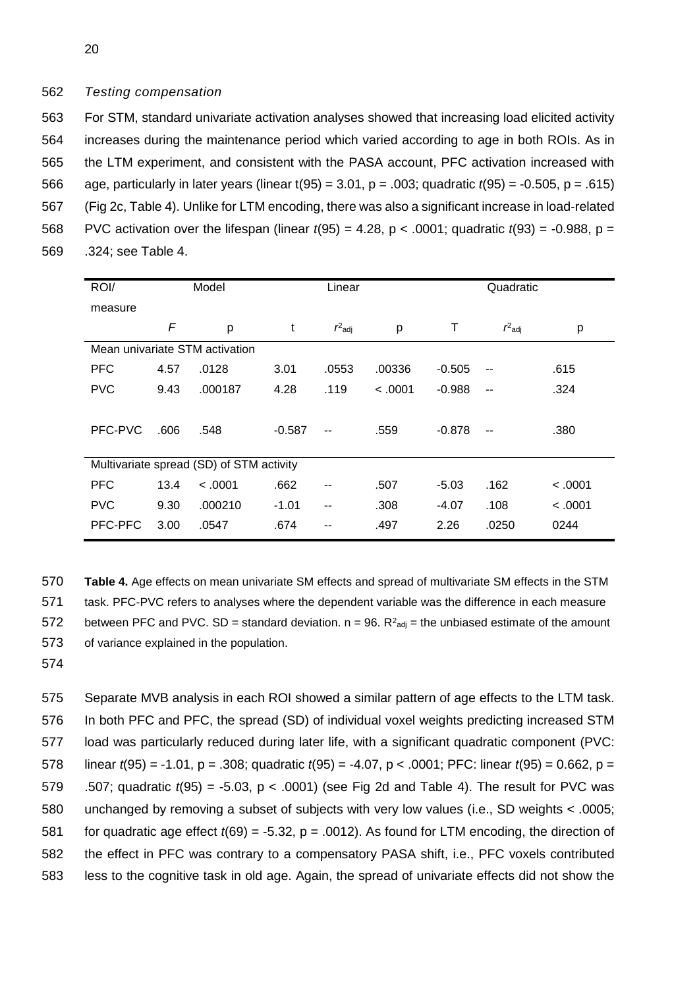## 562 *Testing compensation*

 For STM, standard univariate activation analyses showed that increasing load elicited activity increases during the maintenance period which varied according to age in both ROIs. As in the LTM experiment, and consistent with the PASA account, PFC activation increased with age, particularly in later years (linear t(95) = 3.01, p = .003; quadratic *t*(95) = -0.505, p = .615) (Fig 2c, Table 4). Unlike for LTM encoding, there was also a significant increase in load-related PVC activation over the lifespan (linear *t*(95) = 4.28, p < .0001; quadratic *t*(93) = -0.988, p = .324; see Table 4.

| ROI/       |      | Model                                    |          | Linear    |         | Quadratic |           |         |
|------------|------|------------------------------------------|----------|-----------|---------|-----------|-----------|---------|
| measure    |      |                                          |          |           |         |           |           |         |
|            | F    | р                                        | t        | $r^2$ adj | р       | Τ         | $r^2$ adj | р       |
|            |      | Mean univariate STM activation           |          |           |         |           |           |         |
| <b>PFC</b> | 4.57 | .0128                                    | 3.01     | .0553     | .00336  | $-0.505$  | --        | .615    |
| <b>PVC</b> | 9.43 | .000187                                  | 4.28     | .119      | < .0001 | $-0.988$  | --        | .324    |
|            |      |                                          |          |           |         |           |           |         |
| PFC-PVC    | .606 | .548                                     | $-0.587$ | --        | .559    | $-0.878$  |           | .380    |
|            |      |                                          |          |           |         |           |           |         |
|            |      | Multivariate spread (SD) of STM activity |          |           |         |           |           |         |
| <b>PFC</b> | 13.4 | < .0001                                  | .662     |           | .507    | $-5.03$   | .162      | < 0.001 |
| <b>PVC</b> | 9.30 | .000210                                  | $-1.01$  | --        | .308    | $-4.07$   | .108      | < 0.001 |
| PFC-PFC    | 3.00 | .0547                                    | .674     | --        | .497    | 2.26      | .0250     | 0244    |

 **Table 4.** Age effects on mean univariate SM effects and spread of multivariate SM effects in the STM task. PFC-PVC refers to analyses where the dependent variable was the difference in each measure 572 between PFC and PVC. SD = standard deviation.  $n = 96$ .  $R^2_{\text{adj}}$  = the unbiased estimate of the amount of variance explained in the population.

574

 Separate MVB analysis in each ROI showed a similar pattern of age effects to the LTM task. In both PFC and PFC, the spread (SD) of individual voxel weights predicting increased STM load was particularly reduced during later life, with a significant quadratic component (PVC: linear *t*(95) = -1.01, p = .308; quadratic *t*(95) = -4.07, p < .0001; PFC: linear *t*(95) = 0.662, p = .507; quadratic *t*(95) = -5.03, p < .0001) (see Fig 2d and Table 4). The result for PVC was unchanged by removing a subset of subjects with very low values (i.e., SD weights < .0005; 581 for quadratic age effect  $t(69) = -5.32$ ,  $p = .0012$ ). As found for LTM encoding, the direction of the effect in PFC was contrary to a compensatory PASA shift, i.e., PFC voxels contributed less to the cognitive task in old age. Again, the spread of univariate effects did not show the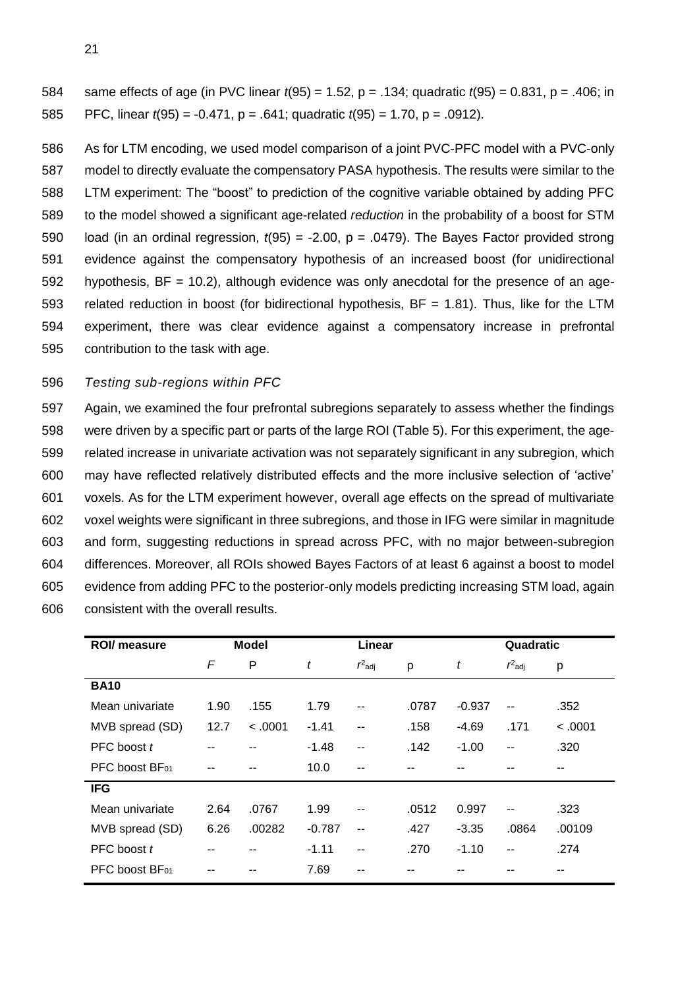same effects of age (in PVC linear *t*(95) = 1.52, p = .134; quadratic *t*(95) = 0.831, p = .406; in PFC, linear *t*(95) = -0.471, p = .641; quadratic *t*(95) = 1.70, p = .0912).

 As for LTM encoding, we used model comparison of a joint PVC-PFC model with a PVC-only model to directly evaluate the compensatory PASA hypothesis. The results were similar to the LTM experiment: The "boost" to prediction of the cognitive variable obtained by adding PFC to the model showed a significant age-related *reduction* in the probability of a boost for STM load (in an ordinal regression, *t*(95) = -2.00, p = .0479). The Bayes Factor provided strong evidence against the compensatory hypothesis of an increased boost (for unidirectional hypothesis, BF = 10.2), although evidence was only anecdotal for the presence of an age- related reduction in boost (for bidirectional hypothesis, BF = 1.81). Thus, like for the LTM experiment, there was clear evidence against a compensatory increase in prefrontal contribution to the task with age.

## *Testing sub-regions within PFC*

 Again, we examined the four prefrontal subregions separately to assess whether the findings were driven by a specific part or parts of the large ROI (Table 5). For this experiment, the age- related increase in univariate activation was not separately significant in any subregion, which may have reflected relatively distributed effects and the more inclusive selection of 'active' voxels. As for the LTM experiment however, overall age effects on the spread of multivariate voxel weights were significant in three subregions, and those in IFG were similar in magnitude and form, suggesting reductions in spread across PFC, with no major between-subregion differences. Moreover, all ROIs showed Bayes Factors of at least 6 against a boost to model evidence from adding PFC to the posterior-only models predicting increasing STM load, again consistent with the overall results.

| ROI/ measure    | <b>Model</b> |         |          | Linear                   |       |          |           | Quadratic |  |
|-----------------|--------------|---------|----------|--------------------------|-------|----------|-----------|-----------|--|
|                 | F            | P       | t        | $r^2$ adj                | р     | t        | $r^2$ adj | р         |  |
| <b>BA10</b>     |              |         |          |                          |       |          |           |           |  |
| Mean univariate | 1.90         | .155    | 1.79     | --                       | .0787 | $-0.937$ | --        | .352      |  |
| MVB spread (SD) | 12.7         | < .0001 | $-1.41$  | $-$                      | .158  | $-4.69$  | .171      | < .0001   |  |
| PFC boost t     |              |         | $-1.48$  | $-$                      | .142  | $-1.00$  | --        | .320      |  |
| PFC boost BF01  |              |         | 10.0     | --                       |       |          |           | --        |  |
| <b>IFG</b>      |              |         |          |                          |       |          |           |           |  |
| Mean univariate | 2.64         | .0767   | 1.99     | --                       | .0512 | 0.997    | --        | .323      |  |
| MVB spread (SD) | 6.26         | .00282  | $-0.787$ | $\overline{\phantom{a}}$ | .427  | $-3.35$  | .0864     | .00109    |  |
| PFC boost t     |              |         | $-1.11$  | --                       | .270  | $-1.10$  | --        | .274      |  |
| PFC boost BF01  |              |         | 7.69     |                          |       |          |           |           |  |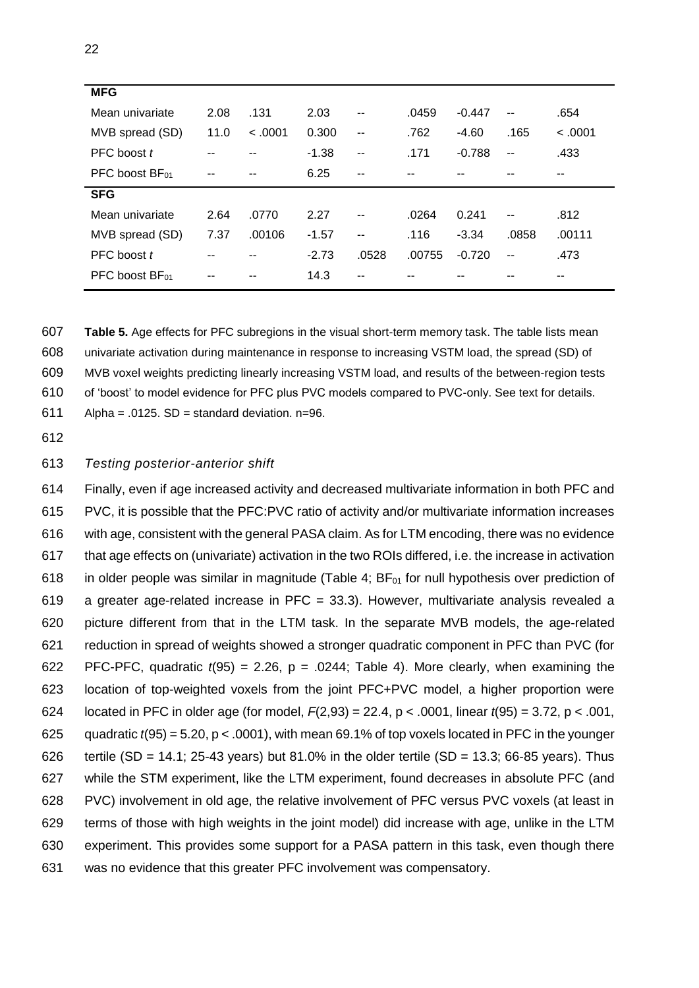| <b>MFG</b>      |      |         |         |       |        |          |                          |         |
|-----------------|------|---------|---------|-------|--------|----------|--------------------------|---------|
| Mean univariate | 2.08 | .131    | 2.03    | $- -$ | .0459  | $-0.447$ | $\overline{\phantom{a}}$ | .654    |
| MVB spread (SD) | 11.0 | < 0.001 | 0.300   | $-$   | .762   | $-4.60$  | .165                     | < 0.001 |
| PFC boost t     |      |         | $-1.38$ | $- -$ | .171   | $-0.788$ | $-$                      | .433    |
| PFC boost BF01  | --   | $- -$   | 6.25    | $- -$ | --     |          | --                       | --      |
| <b>SFG</b>      |      |         |         |       |        |          |                          |         |
| Mean univariate | 2.64 | .0770   | 2.27    | $- -$ | .0264  | 0.241    | $\overline{\phantom{a}}$ | .812    |
| MVB spread (SD) | 7.37 | .00106  | $-1.57$ | $- -$ | .116   | $-3.34$  | .0858                    | .00111  |
| PFC boost t     |      |         | $-2.73$ | .0528 | .00755 | $-0.720$ | $\overline{a}$           | .473    |
| PFC boost BF01  | --   | --      | 14.3    | --    | --     |          | --                       | --      |

 **Table 5.** Age effects for PFC subregions in the visual short-term memory task. The table lists mean univariate activation during maintenance in response to increasing VSTM load, the spread (SD) of MVB voxel weights predicting linearly increasing VSTM load, and results of the between-region tests of 'boost' to model evidence for PFC plus PVC models compared to PVC-only. See text for details.

611 Alpha = .0125.  $SD =$  standard deviation. n=96.

612

### 613 *Testing posterior-anterior shift*

 Finally, even if age increased activity and decreased multivariate information in both PFC and PVC, it is possible that the PFC:PVC ratio of activity and/or multivariate information increases with age, consistent with the general PASA claim. As for LTM encoding, there was no evidence that age effects on (univariate) activation in the two ROIs differed, i.e. the increase in activation 618 in older people was similar in magnitude (Table 4;  $BF<sub>01</sub>$  for null hypothesis over prediction of a greater age-related increase in PFC = 33.3). However, multivariate analysis revealed a picture different from that in the LTM task. In the separate MVB models, the age-related reduction in spread of weights showed a stronger quadratic component in PFC than PVC (for 622 PFC-PFC, quadratic  $t(95) = 2.26$ ,  $p = .0244$ ; Table 4). More clearly, when examining the location of top-weighted voxels from the joint PFC+PVC model, a higher proportion were located in PFC in older age (for model, *F*(2,93) = 22.4, p < .0001, linear *t*(95) = 3.72, p < .001, 625 quadratic  $t(95) = 5.20$ ,  $p < .0001$ ), with mean 69.1% of top voxels located in PFC in the younger 626 tertile (SD = 14.1; 25-43 years) but 81.0% in the older tertile (SD = 13.3; 66-85 years). Thus while the STM experiment, like the LTM experiment, found decreases in absolute PFC (and PVC) involvement in old age, the relative involvement of PFC versus PVC voxels (at least in terms of those with high weights in the joint model) did increase with age, unlike in the LTM experiment. This provides some support for a PASA pattern in this task, even though there was no evidence that this greater PFC involvement was compensatory.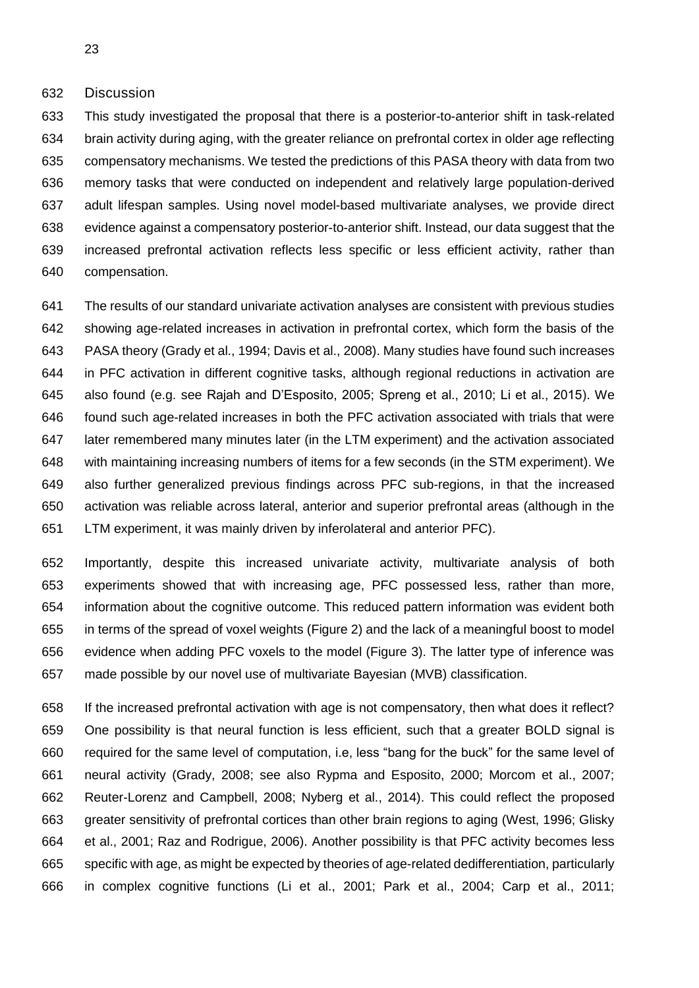Discussion

 This study investigated the proposal that there is a posterior-to-anterior shift in task-related brain activity during aging, with the greater reliance on prefrontal cortex in older age reflecting compensatory mechanisms. We tested the predictions of this PASA theory with data from two memory tasks that were conducted on independent and relatively large population-derived adult lifespan samples. Using novel model-based multivariate analyses, we provide direct evidence against a compensatory posterior-to-anterior shift. Instead, our data suggest that the increased prefrontal activation reflects less specific or less efficient activity, rather than compensation.

 The results of our standard univariate activation analyses are consistent with previous studies showing age-related increases in activation in prefrontal cortex, which form the basis of the PASA theory (Grady et al., 1994; Davis et al., 2008). Many studies have found such increases in PFC activation in different cognitive tasks, although regional reductions in activation are also found (e.g. see Rajah and D'Esposito, 2005; Spreng et al., 2010; Li et al., 2015). We found such age-related increases in both the PFC activation associated with trials that were later remembered many minutes later (in the LTM experiment) and the activation associated with maintaining increasing numbers of items for a few seconds (in the STM experiment). We also further generalized previous findings across PFC sub-regions, in that the increased activation was reliable across lateral, anterior and superior prefrontal areas (although in the LTM experiment, it was mainly driven by inferolateral and anterior PFC).

 Importantly, despite this increased univariate activity, multivariate analysis of both experiments showed that with increasing age, PFC possessed less, rather than more, information about the cognitive outcome. This reduced pattern information was evident both in terms of the spread of voxel weights (Figure 2) and the lack of a meaningful boost to model evidence when adding PFC voxels to the model (Figure 3). The latter type of inference was made possible by our novel use of multivariate Bayesian (MVB) classification.

 If the increased prefrontal activation with age is not compensatory, then what does it reflect? One possibility is that neural function is less efficient, such that a greater BOLD signal is required for the same level of computation, i.e, less "bang for the buck" for the same level of neural activity (Grady, 2008; see also Rypma and Esposito, 2000; Morcom et al., 2007; Reuter-Lorenz and Campbell, 2008; Nyberg et al., 2014). This could reflect the proposed greater sensitivity of prefrontal cortices than other brain regions to aging (West, 1996; Glisky et al., 2001; Raz and Rodrigue, 2006). Another possibility is that PFC activity becomes less specific with age, as might be expected by theories of age-related dedifferentiation, particularly in complex cognitive functions (Li et al., 2001; Park et al., 2004; Carp et al., 2011;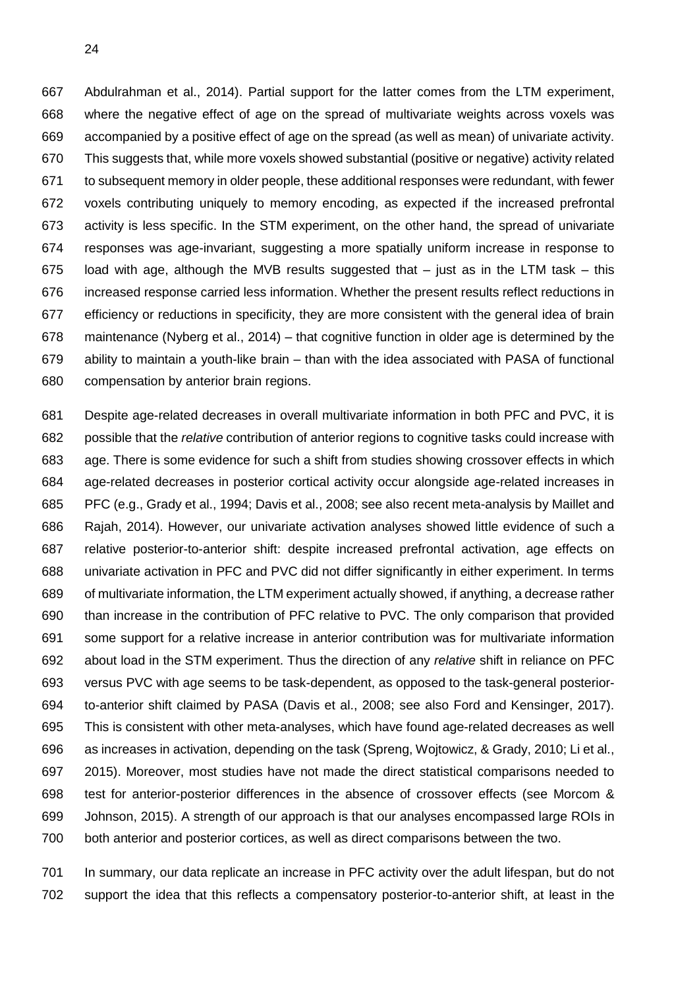Abdulrahman et al., 2014). Partial support for the latter comes from the LTM experiment, where the negative effect of age on the spread of multivariate weights across voxels was accompanied by a positive effect of age on the spread (as well as mean) of univariate activity. This suggests that, while more voxels showed substantial (positive or negative) activity related to subsequent memory in older people, these additional responses were redundant, with fewer voxels contributing uniquely to memory encoding, as expected if the increased prefrontal activity is less specific. In the STM experiment, on the other hand, the spread of univariate responses was age-invariant, suggesting a more spatially uniform increase in response to load with age, although the MVB results suggested that – just as in the LTM task – this increased response carried less information. Whether the present results reflect reductions in efficiency or reductions in specificity, they are more consistent with the general idea of brain maintenance (Nyberg et al., 2014) – that cognitive function in older age is determined by the ability to maintain a youth-like brain – than with the idea associated with PASA of functional compensation by anterior brain regions.

 Despite age-related decreases in overall multivariate information in both PFC and PVC, it is possible that the *relative* contribution of anterior regions to cognitive tasks could increase with age. There is some evidence for such a shift from studies showing crossover effects in which age-related decreases in posterior cortical activity occur alongside age-related increases in PFC (e.g., Grady et al., 1994; Davis et al., 2008; see also recent meta-analysis by Maillet and Rajah, 2014). However, our univariate activation analyses showed little evidence of such a relative posterior-to-anterior shift: despite increased prefrontal activation, age effects on univariate activation in PFC and PVC did not differ significantly in either experiment. In terms of multivariate information, the LTM experiment actually showed, if anything, a decrease rather than increase in the contribution of PFC relative to PVC. The only comparison that provided some support for a relative increase in anterior contribution was for multivariate information about load in the STM experiment. Thus the direction of any *relative* shift in reliance on PFC versus PVC with age seems to be task-dependent, as opposed to the task-general posterior- to-anterior shift claimed by PASA (Davis et al., 2008; see also Ford and Kensinger, 2017). This is consistent with other meta-analyses, which have found age-related decreases as well as increases in activation, depending on the task (Spreng, Wojtowicz, & Grady, 2010; Li et al., 2015). Moreover, most studies have not made the direct statistical comparisons needed to test for anterior-posterior differences in the absence of crossover effects (see Morcom & Johnson, 2015). A strength of our approach is that our analyses encompassed large ROIs in both anterior and posterior cortices, as well as direct comparisons between the two.

 In summary, our data replicate an increase in PFC activity over the adult lifespan, but do not support the idea that this reflects a compensatory posterior-to-anterior shift, at least in the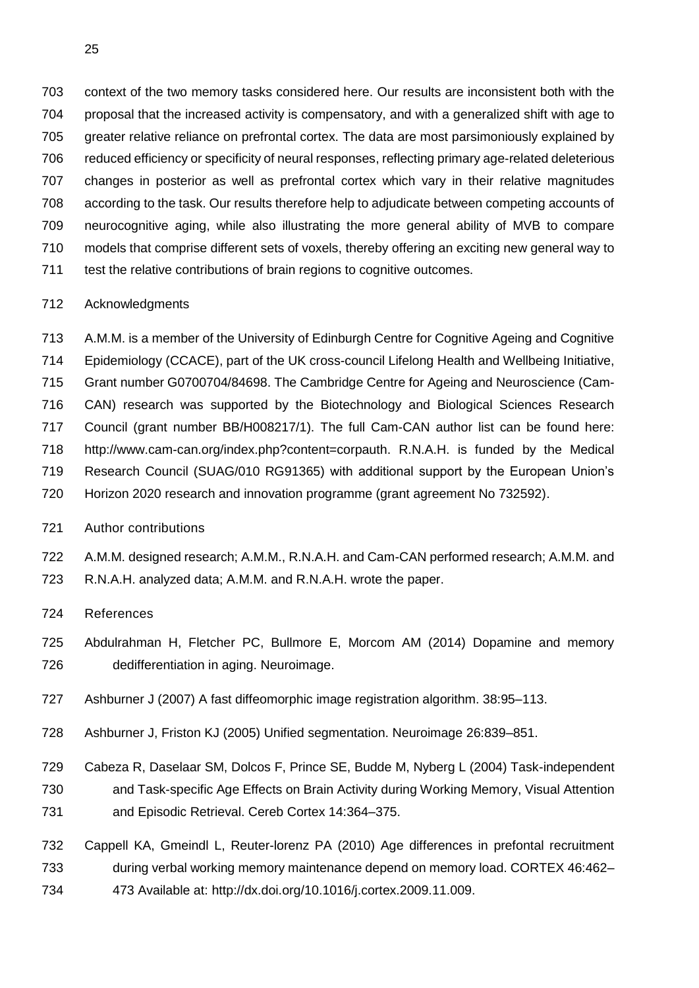context of the two memory tasks considered here. Our results are inconsistent both with the proposal that the increased activity is compensatory, and with a generalized shift with age to 705 greater relative reliance on prefrontal cortex. The data are most parsimoniously explained by reduced efficiency or specificity of neural responses, reflecting primary age-related deleterious changes in posterior as well as prefrontal cortex which vary in their relative magnitudes according to the task. Our results therefore help to adjudicate between competing accounts of neurocognitive aging, while also illustrating the more general ability of MVB to compare models that comprise different sets of voxels, thereby offering an exciting new general way to test the relative contributions of brain regions to cognitive outcomes.

# Acknowledgments

 A.M.M. is a member of the University of Edinburgh Centre for Cognitive Ageing and Cognitive Epidemiology (CCACE), part of the UK cross-council Lifelong Health and Wellbeing Initiative, Grant number G0700704/84698. The Cambridge Centre for Ageing and Neuroscience (Cam- CAN) research was supported by the Biotechnology and Biological Sciences Research Council (grant number BB/H008217/1). The full Cam-CAN author list can be found here: http://www.cam-can.org/index.php?content=corpauth. R.N.A.H. is funded by the Medical Research Council (SUAG/010 RG91365) with additional support by the European Union's Horizon 2020 research and innovation programme (grant agreement No 732592).

- Author contributions
- A.M.M. designed research; A.M.M., R.N.A.H. and Cam-CAN performed research; A.M.M. and R.N.A.H. analyzed data; A.M.M. and R.N.A.H. wrote the paper.
- References
- Abdulrahman H, Fletcher PC, Bullmore E, Morcom AM (2014) Dopamine and memory dedifferentiation in aging. Neuroimage.
- Ashburner J (2007) A fast diffeomorphic image registration algorithm. 38:95–113.
- Ashburner J, Friston KJ (2005) Unified segmentation. Neuroimage 26:839–851.
- Cabeza R, Daselaar SM, Dolcos F, Prince SE, Budde M, Nyberg L (2004) Task-independent and Task-specific Age Effects on Brain Activity during Working Memory, Visual Attention and Episodic Retrieval. Cereb Cortex 14:364–375.
- Cappell KA, Gmeindl L, Reuter-lorenz PA (2010) Age differences in prefontal recruitment during verbal working memory maintenance depend on memory load. CORTEX 46:462– 473 Available at: http://dx.doi.org/10.1016/j.cortex.2009.11.009.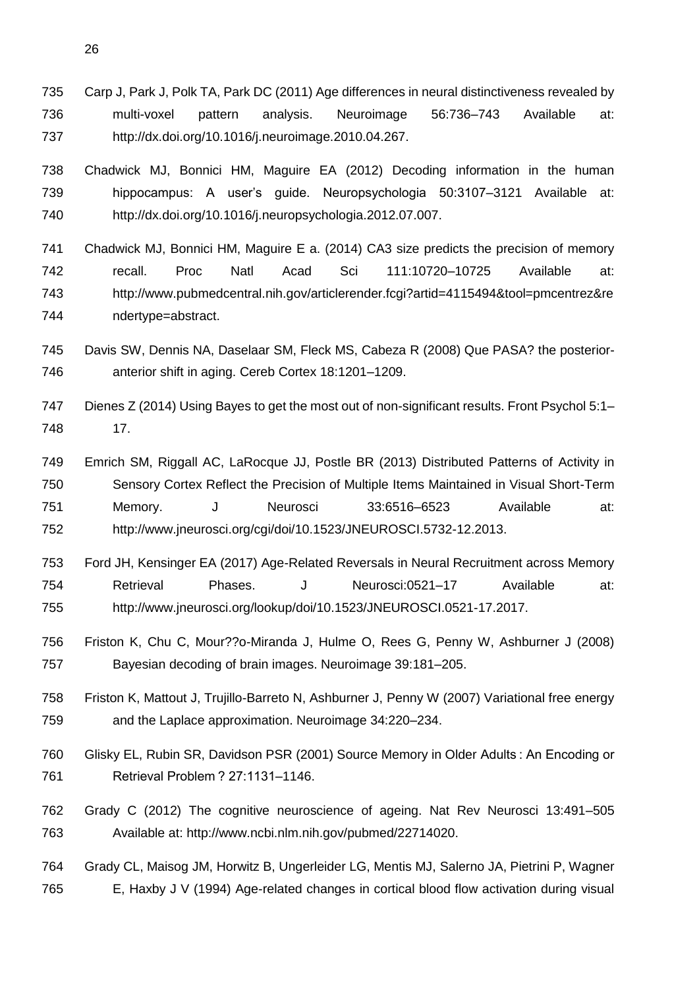Carp J, Park J, Polk TA, Park DC (2011) Age differences in neural distinctiveness revealed by multi-voxel pattern analysis. Neuroimage 56:736–743 Available at: http://dx.doi.org/10.1016/j.neuroimage.2010.04.267.

 Chadwick MJ, Bonnici HM, Maguire EA (2012) Decoding information in the human hippocampus: A user's guide. Neuropsychologia 50:3107–3121 Available at: http://dx.doi.org/10.1016/j.neuropsychologia.2012.07.007.

 Chadwick MJ, Bonnici HM, Maguire E a. (2014) CA3 size predicts the precision of memory recall. Proc Natl Acad Sci 111:10720–10725 Available at: http://www.pubmedcentral.nih.gov/articlerender.fcgi?artid=4115494&tool=pmcentrez&re ndertype=abstract.

 Davis SW, Dennis NA, Daselaar SM, Fleck MS, Cabeza R (2008) Que PASA? the posterior-anterior shift in aging. Cereb Cortex 18:1201–1209.

747 Dienes Z (2014) Using Bayes to get the most out of non-significant results. Front Psychol 5:1– 17.

 Emrich SM, Riggall AC, LaRocque JJ, Postle BR (2013) Distributed Patterns of Activity in Sensory Cortex Reflect the Precision of Multiple Items Maintained in Visual Short-Term Memory. J Neurosci 33:6516–6523 Available at: http://www.jneurosci.org/cgi/doi/10.1523/JNEUROSCI.5732-12.2013.

 Ford JH, Kensinger EA (2017) Age-Related Reversals in Neural Recruitment across Memory Retrieval Phases. J Neurosci:0521–17 Available at: http://www.jneurosci.org/lookup/doi/10.1523/JNEUROSCI.0521-17.2017.

 Friston K, Chu C, Mour??o-Miranda J, Hulme O, Rees G, Penny W, Ashburner J (2008) Bayesian decoding of brain images. Neuroimage 39:181–205.

 Friston K, Mattout J, Trujillo-Barreto N, Ashburner J, Penny W (2007) Variational free energy and the Laplace approximation. Neuroimage 34:220–234.

 Glisky EL, Rubin SR, Davidson PSR (2001) Source Memory in Older Adults : An Encoding or Retrieval Problem ? 27:1131–1146.

 Grady C (2012) The cognitive neuroscience of ageing. Nat Rev Neurosci 13:491–505 Available at: http://www.ncbi.nlm.nih.gov/pubmed/22714020.

 Grady CL, Maisog JM, Horwitz B, Ungerleider LG, Mentis MJ, Salerno JA, Pietrini P, Wagner E, Haxby J V (1994) Age-related changes in cortical blood flow activation during visual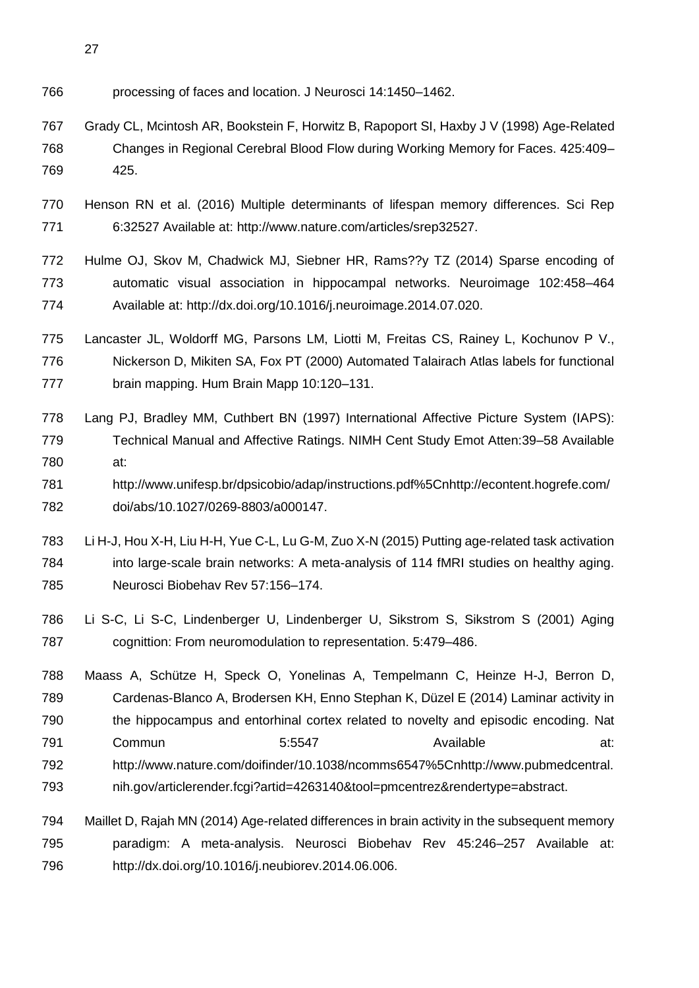- 
- processing of faces and location. J Neurosci 14:1450–1462.
- Grady CL, Mcintosh AR, Bookstein F, Horwitz B, Rapoport SI, Haxby J V (1998) Age-Related Changes in Regional Cerebral Blood Flow during Working Memory for Faces. 425:409– 425.
- Henson RN et al. (2016) Multiple determinants of lifespan memory differences. Sci Rep 6:32527 Available at: http://www.nature.com/articles/srep32527.
- Hulme OJ, Skov M, Chadwick MJ, Siebner HR, Rams??y TZ (2014) Sparse encoding of automatic visual association in hippocampal networks. Neuroimage 102:458–464 Available at: http://dx.doi.org/10.1016/j.neuroimage.2014.07.020.
- Lancaster JL, Woldorff MG, Parsons LM, Liotti M, Freitas CS, Rainey L, Kochunov P V., Nickerson D, Mikiten SA, Fox PT (2000) Automated Talairach Atlas labels for functional brain mapping. Hum Brain Mapp 10:120–131.
- Lang PJ, Bradley MM, Cuthbert BN (1997) International Affective Picture System (IAPS): Technical Manual and Affective Ratings. NIMH Cent Study Emot Atten:39–58 Available at:
- http://www.unifesp.br/dpsicobio/adap/instructions.pdf%5Cnhttp://econtent.hogrefe.com/ doi/abs/10.1027/0269-8803/a000147.
- Li H-J, Hou X-H, Liu H-H, Yue C-L, Lu G-M, Zuo X-N (2015) Putting age-related task activation into large-scale brain networks: A meta-analysis of 114 fMRI studies on healthy aging. Neurosci Biobehav Rev 57:156–174.
- Li S-C, Li S-C, Lindenberger U, Lindenberger U, Sikstrom S, Sikstrom S (2001) Aging cognittion: From neuromodulation to representation. 5:479–486.
- Maass A, Schütze H, Speck O, Yonelinas A, Tempelmann C, Heinze H-J, Berron D, Cardenas-Blanco A, Brodersen KH, Enno Stephan K, Düzel E (2014) Laminar activity in the hippocampus and entorhinal cortex related to novelty and episodic encoding. Nat 791 Commun 5:5547 Available at: http://www.nature.com/doifinder/10.1038/ncomms6547%5Cnhttp://www.pubmedcentral. nih.gov/articlerender.fcgi?artid=4263140&tool=pmcentrez&rendertype=abstract.
- Maillet D, Rajah MN (2014) Age-related differences in brain activity in the subsequent memory paradigm: A meta-analysis. Neurosci Biobehav Rev 45:246–257 Available at: http://dx.doi.org/10.1016/j.neubiorev.2014.06.006.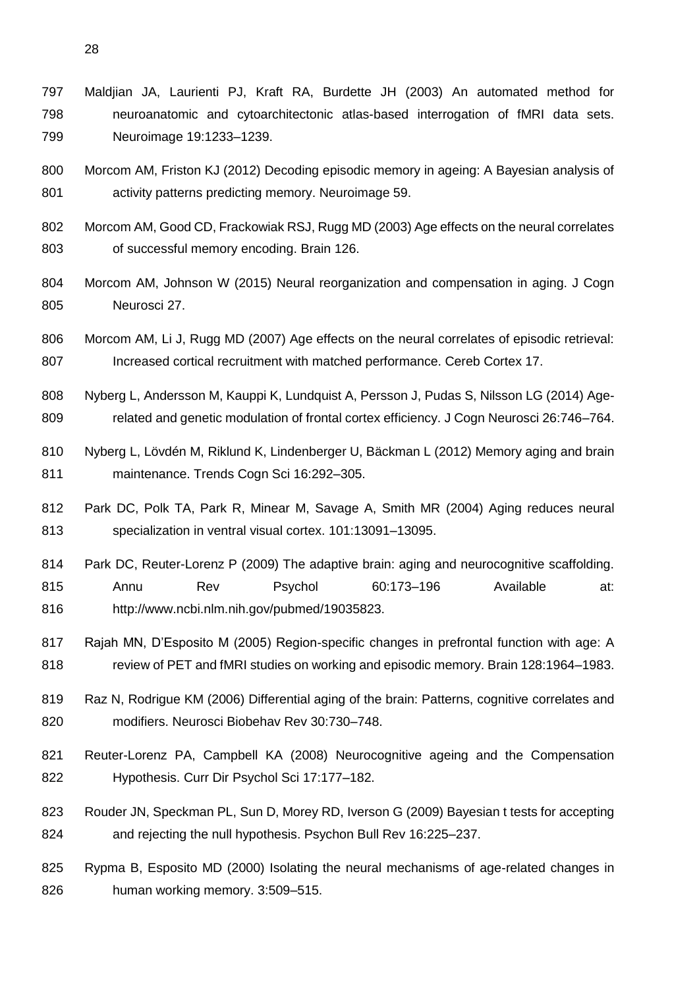Maldjian JA, Laurienti PJ, Kraft RA, Burdette JH (2003) An automated method for neuroanatomic and cytoarchitectonic atlas-based interrogation of fMRI data sets. Neuroimage 19:1233–1239.

- Morcom AM, Friston KJ (2012) Decoding episodic memory in ageing: A Bayesian analysis of activity patterns predicting memory. Neuroimage 59.
- Morcom AM, Good CD, Frackowiak RSJ, Rugg MD (2003) Age effects on the neural correlates of successful memory encoding. Brain 126.
- Morcom AM, Johnson W (2015) Neural reorganization and compensation in aging. J Cogn Neurosci 27.
- Morcom AM, Li J, Rugg MD (2007) Age effects on the neural correlates of episodic retrieval: Increased cortical recruitment with matched performance. Cereb Cortex 17.
- Nyberg L, Andersson M, Kauppi K, Lundquist A, Persson J, Pudas S, Nilsson LG (2014) Age-related and genetic modulation of frontal cortex efficiency. J Cogn Neurosci 26:746–764.
- Nyberg L, Lövdén M, Riklund K, Lindenberger U, Bäckman L (2012) Memory aging and brain maintenance. Trends Cogn Sci 16:292–305.
- Park DC, Polk TA, Park R, Minear M, Savage A, Smith MR (2004) Aging reduces neural specialization in ventral visual cortex. 101:13091–13095.
- 814 Park DC, Reuter-Lorenz P (2009) The adaptive brain: aging and neurocognitive scaffolding. Annu Rev Psychol 60:173–196 Available at: http://www.ncbi.nlm.nih.gov/pubmed/19035823.
- Rajah MN, D'Esposito M (2005) Region-specific changes in prefrontal function with age: A review of PET and fMRI studies on working and episodic memory. Brain 128:1964–1983.
- Raz N, Rodrigue KM (2006) Differential aging of the brain: Patterns, cognitive correlates and modifiers. Neurosci Biobehav Rev 30:730–748.
- Reuter-Lorenz PA, Campbell KA (2008) Neurocognitive ageing and the Compensation Hypothesis. Curr Dir Psychol Sci 17:177–182.
- Rouder JN, Speckman PL, Sun D, Morey RD, Iverson G (2009) Bayesian t tests for accepting and rejecting the null hypothesis. Psychon Bull Rev 16:225–237.
- Rypma B, Esposito MD (2000) Isolating the neural mechanisms of age-related changes in human working memory. 3:509–515.